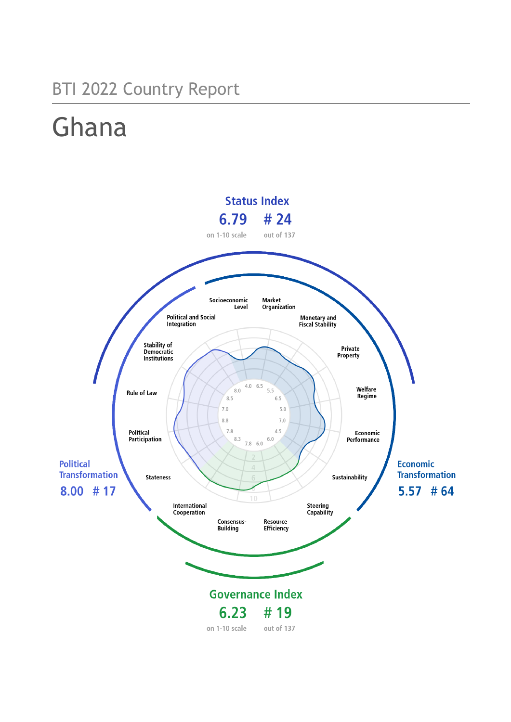# BTI 2022 Country Report

# Ghana

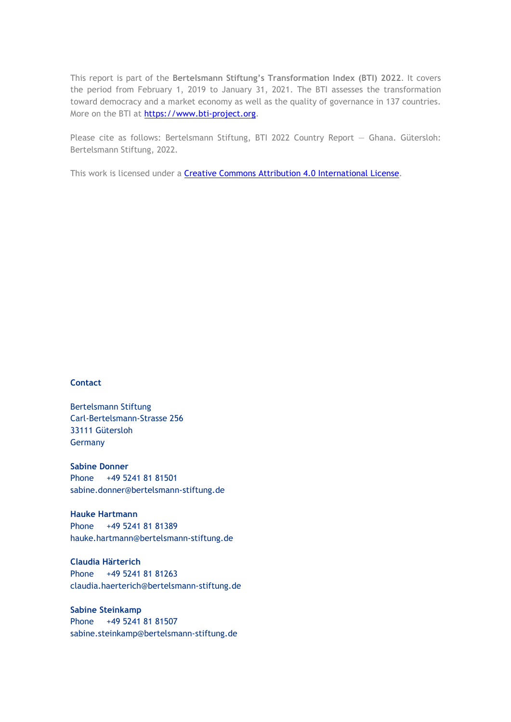This report is part of the **Bertelsmann Stiftung's Transformation Index (BTI) 2022**. It covers the period from February 1, 2019 to January 31, 2021. The BTI assesses the transformation toward democracy and a market economy as well as the quality of governance in 137 countries. More on the BTI at [https://www.bti-project.org.](https://www.bti-project.org/)

Please cite as follows: Bertelsmann Stiftung, BTI 2022 Country Report — Ghana. Gütersloh: Bertelsmann Stiftung, 2022.

This work is licensed under a **Creative Commons Attribution 4.0 International License**.

### **Contact**

Bertelsmann Stiftung Carl-Bertelsmann-Strasse 256 33111 Gütersloh Germany

**Sabine Donner** Phone +49 5241 81 81501 sabine.donner@bertelsmann-stiftung.de

**Hauke Hartmann** Phone +49 5241 81 81389 hauke.hartmann@bertelsmann-stiftung.de

**Claudia Härterich** Phone +49 5241 81 81263 claudia.haerterich@bertelsmann-stiftung.de

### **Sabine Steinkamp** Phone +49 5241 81 81507 sabine.steinkamp@bertelsmann-stiftung.de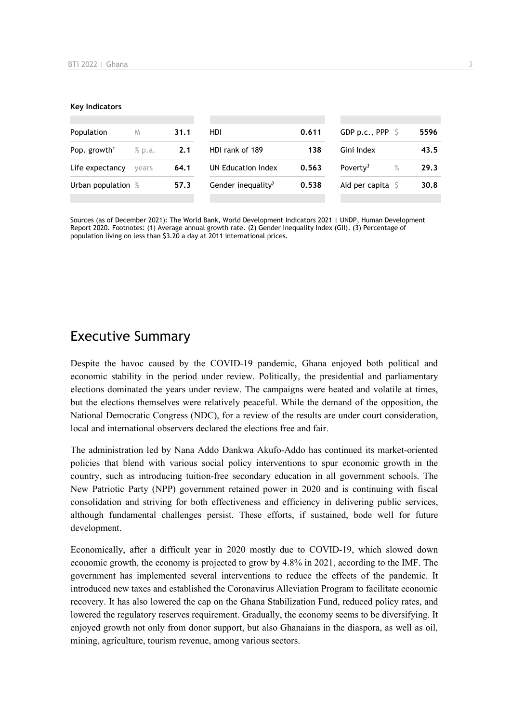#### **Key Indicators**

| Population               | M      | 31.1 | HDI.                           | 0.611 | GDP p.c., PPP $\ S$        | 5596         |
|--------------------------|--------|------|--------------------------------|-------|----------------------------|--------------|
| Pop. growth <sup>1</sup> | % p.a. | 2.1  | HDI rank of 189                | 138   | Gini Index                 | 43.5         |
| Life expectancy          | vears  | 64.1 | UN Education Index             | 0.563 | Poverty <sup>3</sup>       | $\%$<br>29.3 |
| Urban population %       |        | 57.3 | Gender inequality <sup>2</sup> | 0.538 | Aid per capita $\mathsf S$ | 30.8         |
|                          |        |      |                                |       |                            |              |

Sources (as of December 2021): The World Bank, World Development Indicators 2021 | UNDP, Human Development Report 2020. Footnotes: (1) Average annual growth rate. (2) Gender Inequality Index (GII). (3) Percentage of population living on less than \$3.20 a day at 2011 international prices.

# Executive Summary

Despite the havoc caused by the COVID-19 pandemic, Ghana enjoyed both political and economic stability in the period under review. Politically, the presidential and parliamentary elections dominated the years under review. The campaigns were heated and volatile at times, but the elections themselves were relatively peaceful. While the demand of the opposition, the National Democratic Congress (NDC), for a review of the results are under court consideration, local and international observers declared the elections free and fair.

The administration led by Nana Addo Dankwa Akufo-Addo has continued its market-oriented policies that blend with various social policy interventions to spur economic growth in the country, such as introducing tuition-free secondary education in all government schools. The New Patriotic Party (NPP) government retained power in 2020 and is continuing with fiscal consolidation and striving for both effectiveness and efficiency in delivering public services, although fundamental challenges persist. These efforts, if sustained, bode well for future development.

Economically, after a difficult year in 2020 mostly due to COVID-19, which slowed down economic growth, the economy is projected to grow by 4.8% in 2021, according to the IMF. The government has implemented several interventions to reduce the effects of the pandemic. It introduced new taxes and established the Coronavirus Alleviation Program to facilitate economic recovery. It has also lowered the cap on the Ghana Stabilization Fund, reduced policy rates, and lowered the regulatory reserves requirement. Gradually, the economy seems to be diversifying. It enjoyed growth not only from donor support, but also Ghanaians in the diaspora, as well as oil, mining, agriculture, tourism revenue, among various sectors.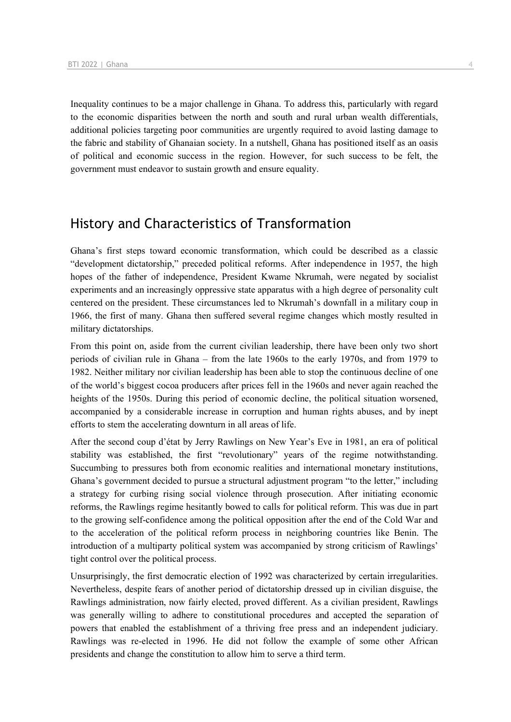Inequality continues to be a major challenge in Ghana. To address this, particularly with regard to the economic disparities between the north and south and rural urban wealth differentials, additional policies targeting poor communities are urgently required to avoid lasting damage to the fabric and stability of Ghanaian society. In a nutshell, Ghana has positioned itself as an oasis of political and economic success in the region. However, for such success to be felt, the government must endeavor to sustain growth and ensure equality.

# History and Characteristics of Transformation

Ghana's first steps toward economic transformation, which could be described as a classic "development dictatorship," preceded political reforms. After independence in 1957, the high hopes of the father of independence, President Kwame Nkrumah, were negated by socialist experiments and an increasingly oppressive state apparatus with a high degree of personality cult centered on the president. These circumstances led to Nkrumah's downfall in a military coup in 1966, the first of many. Ghana then suffered several regime changes which mostly resulted in military dictatorships.

From this point on, aside from the current civilian leadership, there have been only two short periods of civilian rule in Ghana – from the late 1960s to the early 1970s, and from 1979 to 1982. Neither military nor civilian leadership has been able to stop the continuous decline of one of the world's biggest cocoa producers after prices fell in the 1960s and never again reached the heights of the 1950s. During this period of economic decline, the political situation worsened, accompanied by a considerable increase in corruption and human rights abuses, and by inept efforts to stem the accelerating downturn in all areas of life.

After the second coup d'état by Jerry Rawlings on New Year's Eve in 1981, an era of political stability was established, the first "revolutionary" years of the regime notwithstanding. Succumbing to pressures both from economic realities and international monetary institutions, Ghana's government decided to pursue a structural adjustment program "to the letter," including a strategy for curbing rising social violence through prosecution. After initiating economic reforms, the Rawlings regime hesitantly bowed to calls for political reform. This was due in part to the growing self-confidence among the political opposition after the end of the Cold War and to the acceleration of the political reform process in neighboring countries like Benin. The introduction of a multiparty political system was accompanied by strong criticism of Rawlings' tight control over the political process.

Unsurprisingly, the first democratic election of 1992 was characterized by certain irregularities. Nevertheless, despite fears of another period of dictatorship dressed up in civilian disguise, the Rawlings administration, now fairly elected, proved different. As a civilian president, Rawlings was generally willing to adhere to constitutional procedures and accepted the separation of powers that enabled the establishment of a thriving free press and an independent judiciary. Rawlings was re-elected in 1996. He did not follow the example of some other African presidents and change the constitution to allow him to serve a third term.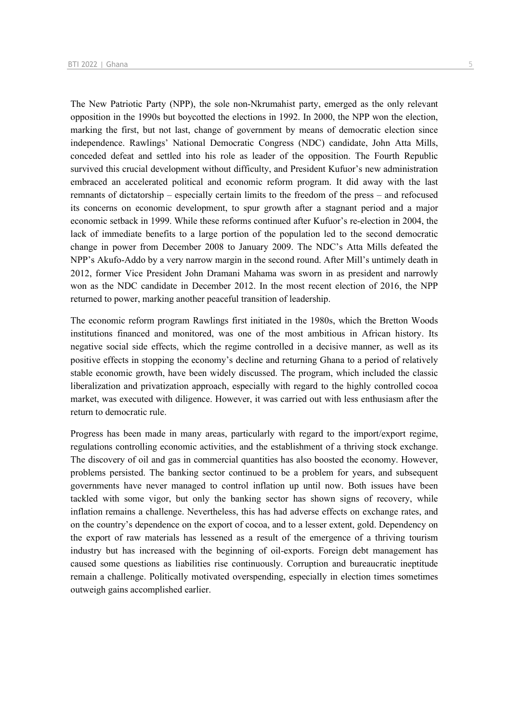The New Patriotic Party (NPP), the sole non-Nkrumahist party, emerged as the only relevant opposition in the 1990s but boycotted the elections in 1992. In 2000, the NPP won the election, marking the first, but not last, change of government by means of democratic election since independence. Rawlings' National Democratic Congress (NDC) candidate, John Atta Mills, conceded defeat and settled into his role as leader of the opposition. The Fourth Republic survived this crucial development without difficulty, and President Kufuor's new administration embraced an accelerated political and economic reform program. It did away with the last remnants of dictatorship – especially certain limits to the freedom of the press – and refocused its concerns on economic development, to spur growth after a stagnant period and a major economic setback in 1999. While these reforms continued after Kufuor's re-election in 2004, the lack of immediate benefits to a large portion of the population led to the second democratic change in power from December 2008 to January 2009. The NDC's Atta Mills defeated the NPP's Akufo-Addo by a very narrow margin in the second round. After Mill's untimely death in 2012, former Vice President John Dramani Mahama was sworn in as president and narrowly won as the NDC candidate in December 2012. In the most recent election of 2016, the NPP returned to power, marking another peaceful transition of leadership.

The economic reform program Rawlings first initiated in the 1980s, which the Bretton Woods institutions financed and monitored, was one of the most ambitious in African history. Its negative social side effects, which the regime controlled in a decisive manner, as well as its positive effects in stopping the economy's decline and returning Ghana to a period of relatively stable economic growth, have been widely discussed. The program, which included the classic liberalization and privatization approach, especially with regard to the highly controlled cocoa market, was executed with diligence. However, it was carried out with less enthusiasm after the return to democratic rule.

Progress has been made in many areas, particularly with regard to the import/export regime, regulations controlling economic activities, and the establishment of a thriving stock exchange. The discovery of oil and gas in commercial quantities has also boosted the economy. However, problems persisted. The banking sector continued to be a problem for years, and subsequent governments have never managed to control inflation up until now. Both issues have been tackled with some vigor, but only the banking sector has shown signs of recovery, while inflation remains a challenge. Nevertheless, this has had adverse effects on exchange rates, and on the country's dependence on the export of cocoa, and to a lesser extent, gold. Dependency on the export of raw materials has lessened as a result of the emergence of a thriving tourism industry but has increased with the beginning of oil-exports. Foreign debt management has caused some questions as liabilities rise continuously. Corruption and bureaucratic ineptitude remain a challenge. Politically motivated overspending, especially in election times sometimes outweigh gains accomplished earlier.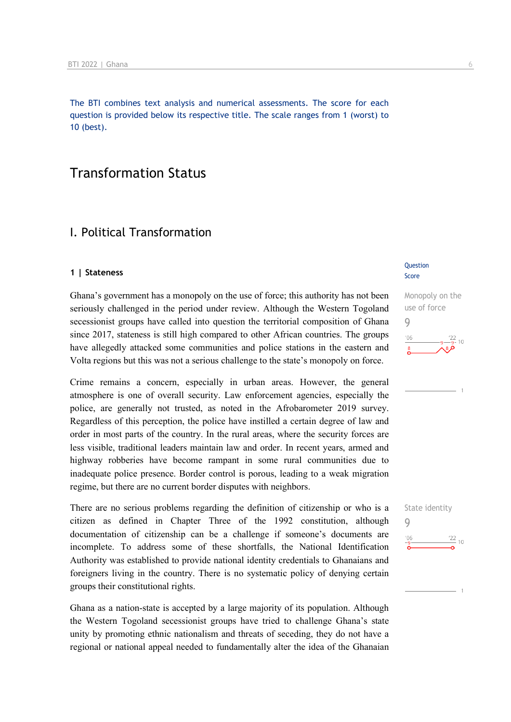The BTI combines text analysis and numerical assessments. The score for each question is provided below its respective title. The scale ranges from 1 (worst) to 10 (best).

# Transformation Status

# I. Political Transformation

### **1 | Stateness**

Ghana's government has a monopoly on the use of force; this authority has not been seriously challenged in the period under review. Although the Western Togoland secessionist groups have called into question the territorial composition of Ghana since 2017, stateness is still high compared to other African countries. The groups have allegedly attacked some communities and police stations in the eastern and Volta regions but this was not a serious challenge to the state's monopoly on force.

Crime remains a concern, especially in urban areas. However, the general atmosphere is one of overall security. Law enforcement agencies, especially the police, are generally not trusted, as noted in the Afrobarometer 2019 survey. Regardless of this perception, the police have instilled a certain degree of law and order in most parts of the country. In the rural areas, where the security forces are less visible, traditional leaders maintain law and order. In recent years, armed and highway robberies have become rampant in some rural communities due to inadequate police presence. Border control is porous, leading to a weak migration regime, but there are no current border disputes with neighbors.

There are no serious problems regarding the definition of citizenship or who is a citizen as defined in Chapter Three of the 1992 constitution, although documentation of citizenship can be a challenge if someone's documents are incomplete. To address some of these shortfalls, the National Identification Authority was established to provide national identity credentials to Ghanaians and foreigners living in the country. There is no systematic policy of denying certain groups their constitutional rights.

Ghana as a nation-state is accepted by a large majority of its population. Although the Western Togoland secessionist groups have tried to challenge Ghana's state unity by promoting ethnic nationalism and threats of seceding, they do not have a regional or national appeal needed to fundamentally alter the idea of the Ghanaian

### **Question** Score

# Monopoly on the use of force 9  $n<sub>f</sub>$  $10$

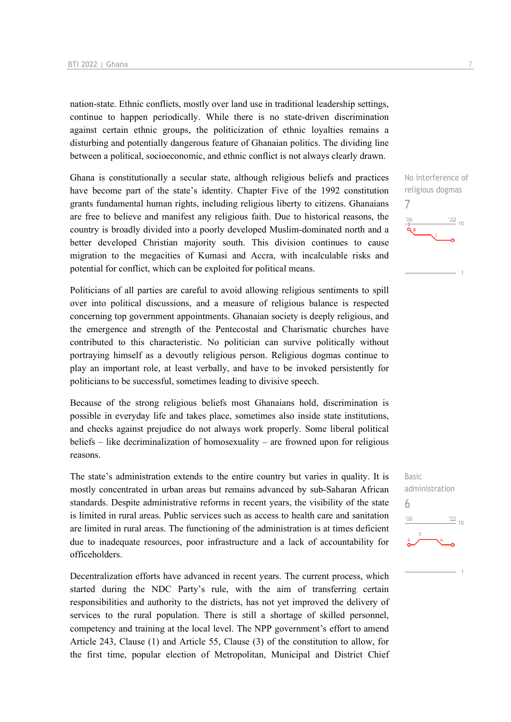nation-state. Ethnic conflicts, mostly over land use in traditional leadership settings, continue to happen periodically. While there is no state-driven discrimination against certain ethnic groups, the politicization of ethnic loyalties remains a disturbing and potentially dangerous feature of Ghanaian politics. The dividing line between a political, socioeconomic, and ethnic conflict is not always clearly drawn.

Ghana is constitutionally a secular state, although religious beliefs and practices have become part of the state's identity. Chapter Five of the 1992 constitution grants fundamental human rights, including religious liberty to citizens. Ghanaians are free to believe and manifest any religious faith. Due to historical reasons, the country is broadly divided into a poorly developed Muslim-dominated north and a better developed Christian majority south. This division continues to cause migration to the megacities of Kumasi and Accra, with incalculable risks and potential for conflict, which can be exploited for political means.

Politicians of all parties are careful to avoid allowing religious sentiments to spill over into political discussions, and a measure of religious balance is respected concerning top government appointments. Ghanaian society is deeply religious, and the emergence and strength of the Pentecostal and Charismatic churches have contributed to this characteristic. No politician can survive politically without portraying himself as a devoutly religious person. Religious dogmas continue to play an important role, at least verbally, and have to be invoked persistently for politicians to be successful, sometimes leading to divisive speech.

Because of the strong religious beliefs most Ghanaians hold, discrimination is possible in everyday life and takes place, sometimes also inside state institutions, and checks against prejudice do not always work properly. Some liberal political beliefs – like decriminalization of homosexuality – are frowned upon for religious reasons.

The state's administration extends to the entire country but varies in quality. It is mostly concentrated in urban areas but remains advanced by sub-Saharan African standards. Despite administrative reforms in recent years, the visibility of the state is limited in rural areas. Public services such as access to health care and sanitation are limited in rural areas. The functioning of the administration is at times deficient due to inadequate resources, poor infrastructure and a lack of accountability for officeholders.

Decentralization efforts have advanced in recent years. The current process, which started during the NDC Party's rule, with the aim of transferring certain responsibilities and authority to the districts, has not yet improved the delivery of services to the rural population. There is still a shortage of skilled personnel, competency and training at the local level. The NPP government's effort to amend Article 243, Clause (1) and Article 55, Clause (3) of the constitution to allow, for the first time, popular election of Metropolitan, Municipal and District Chief No interference of religious dogmas 7  $\frac{22}{10}$  $06'$  $\bar{\mathbf{Q}}$  8

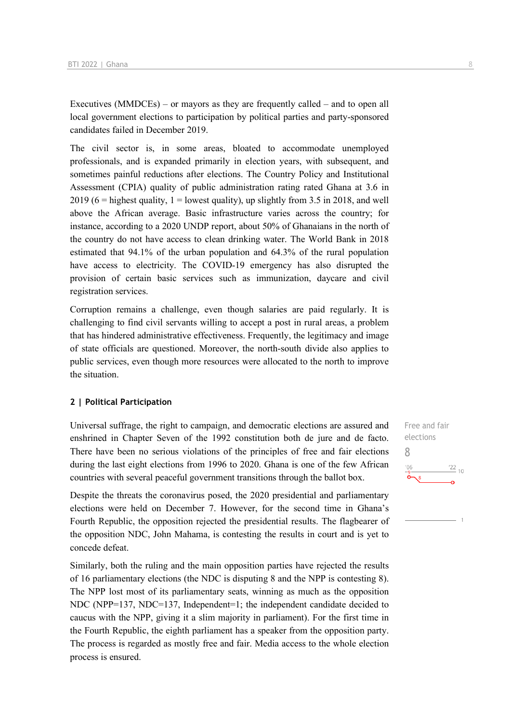Executives (MMDCEs) – or mayors as they are frequently called – and to open all local government elections to participation by political parties and party-sponsored candidates failed in December 2019.

The civil sector is, in some areas, bloated to accommodate unemployed professionals, and is expanded primarily in election years, with subsequent, and sometimes painful reductions after elections. The Country Policy and Institutional Assessment (CPIA) quality of public administration rating rated Ghana at 3.6 in 2019 (6 = highest quality,  $1 =$  lowest quality), up slightly from 3.5 in 2018, and well above the African average. Basic infrastructure varies across the country; for instance, according to a 2020 UNDP report, about 50% of Ghanaians in the north of the country do not have access to clean drinking water. The World Bank in 2018 estimated that 94.1% of the urban population and 64.3% of the rural population have access to electricity. The COVID-19 emergency has also disrupted the provision of certain basic services such as immunization, daycare and civil registration services.

Corruption remains a challenge, even though salaries are paid regularly. It is challenging to find civil servants willing to accept a post in rural areas, a problem that has hindered administrative effectiveness. Frequently, the legitimacy and image of state officials are questioned. Moreover, the north-south divide also applies to public services, even though more resources were allocated to the north to improve the situation.

### **2 | Political Participation**

Universal suffrage, the right to campaign, and democratic elections are assured and enshrined in Chapter Seven of the 1992 constitution both de jure and de facto. There have been no serious violations of the principles of free and fair elections during the last eight elections from 1996 to 2020. Ghana is one of the few African countries with several peaceful government transitions through the ballot box.

Despite the threats the coronavirus posed, the 2020 presidential and parliamentary elections were held on December 7. However, for the second time in Ghana's Fourth Republic, the opposition rejected the presidential results. The flagbearer of the opposition NDC, John Mahama, is contesting the results in court and is yet to concede defeat.

Similarly, both the ruling and the main opposition parties have rejected the results of 16 parliamentary elections (the NDC is disputing 8 and the NPP is contesting 8). The NPP lost most of its parliamentary seats, winning as much as the opposition NDC (NPP=137, NDC=137, Independent=1; the independent candidate decided to caucus with the NPP, giving it a slim majority in parliament). For the first time in the Fourth Republic, the eighth parliament has a speaker from the opposition party. The process is regarded as mostly free and fair. Media access to the whole election process is ensured.

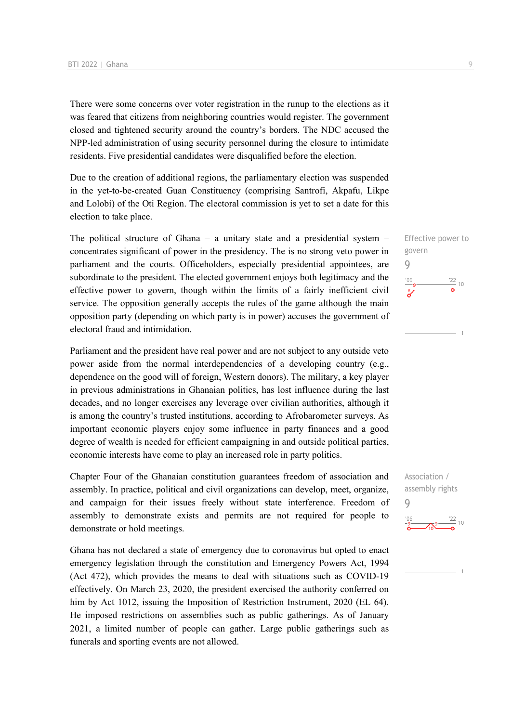There were some concerns over voter registration in the runup to the elections as it was feared that citizens from neighboring countries would register. The government closed and tightened security around the country's borders. The NDC accused the NPP-led administration of using security personnel during the closure to intimidate residents. Five presidential candidates were disqualified before the election.

Due to the creation of additional regions, the parliamentary election was suspended in the yet-to-be-created Guan Constituency (comprising Santrofi, Akpafu, Likpe and Lolobi) of the Oti Region. The electoral commission is yet to set a date for this election to take place.

The political structure of Ghana – a unitary state and a presidential system – concentrates significant of power in the presidency. The is no strong veto power in parliament and the courts. Officeholders, especially presidential appointees, are subordinate to the president. The elected government enjoys both legitimacy and the effective power to govern, though within the limits of a fairly inefficient civil service. The opposition generally accepts the rules of the game although the main opposition party (depending on which party is in power) accuses the government of electoral fraud and intimidation.

Parliament and the president have real power and are not subject to any outside veto power aside from the normal interdependencies of a developing country (e.g., dependence on the good will of foreign, Western donors). The military, a key player in previous administrations in Ghanaian politics, has lost influence during the last decades, and no longer exercises any leverage over civilian authorities, although it is among the country's trusted institutions, according to Afrobarometer surveys. As important economic players enjoy some influence in party finances and a good degree of wealth is needed for efficient campaigning in and outside political parties, economic interests have come to play an increased role in party politics.

Chapter Four of the Ghanaian constitution guarantees freedom of association and assembly. In practice, political and civil organizations can develop, meet, organize, and campaign for their issues freely without state interference. Freedom of assembly to demonstrate exists and permits are not required for people to demonstrate or hold meetings.

Ghana has not declared a state of emergency due to coronavirus but opted to enact emergency legislation through the constitution and Emergency Powers Act, 1994 (Act 472), which provides the means to deal with situations such as COVID-19 effectively. On March 23, 2020, the president exercised the authority conferred on him by Act 1012, issuing the Imposition of Restriction Instrument, 2020 (EL 64). He imposed restrictions on assemblies such as public gatherings. As of January 2021, a limited number of people can gather. Large public gatherings such as funerals and sporting events are not allowed.

Effective power to govern 9  $\frac{22}{10}$  10  $-06$ 

Association / assembly rights 9 $\frac{22}{10}$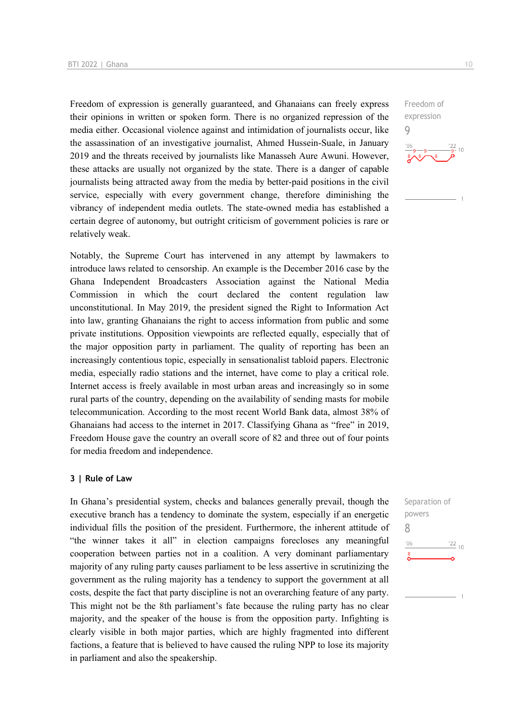Freedom of expression is generally guaranteed, and Ghanaians can freely express their opinions in written or spoken form. There is no organized repression of the media either. Occasional violence against and intimidation of journalists occur, like the assassination of an investigative journalist, Ahmed Hussein-Suale, in January 2019 and the threats received by journalists like Manasseh Aure Awuni. However, these attacks are usually not organized by the state. There is a danger of capable journalists being attracted away from the media by better-paid positions in the civil service, especially with every government change, therefore diminishing the vibrancy of independent media outlets. The state-owned media has established a certain degree of autonomy, but outright criticism of government policies is rare or relatively weak.

Notably, the Supreme Court has intervened in any attempt by lawmakers to introduce laws related to censorship. An example is the December 2016 case by the Ghana Independent Broadcasters Association against the National Media Commission in which the court declared the content regulation law unconstitutional. In May 2019, the president signed the Right to Information Act into law, granting Ghanaians the right to access information from public and some private institutions. Opposition viewpoints are reflected equally, especially that of the major opposition party in parliament. The quality of reporting has been an increasingly contentious topic, especially in sensationalist tabloid papers. Electronic media, especially radio stations and the internet, have come to play a critical role. Internet access is freely available in most urban areas and increasingly so in some rural parts of the country, depending on the availability of sending masts for mobile telecommunication. According to the most recent World Bank data, almost 38% of Ghanaians had access to the internet in 2017. Classifying Ghana as "free" in 2019, Freedom House gave the country an overall score of 82 and three out of four points for media freedom and independence.

### **3 | Rule of Law**

In Ghana's presidential system, checks and balances generally prevail, though the executive branch has a tendency to dominate the system, especially if an energetic individual fills the position of the president. Furthermore, the inherent attitude of "the winner takes it all" in election campaigns forecloses any meaningful cooperation between parties not in a coalition. A very dominant parliamentary majority of any ruling party causes parliament to be less assertive in scrutinizing the government as the ruling majority has a tendency to support the government at all costs, despite the fact that party discipline is not an overarching feature of any party. This might not be the 8th parliament's fate because the ruling party has no clear majority, and the speaker of the house is from the opposition party. Infighting is clearly visible in both major parties, which are highly fragmented into different factions, a feature that is believed to have caused the ruling NPP to lose its majority in parliament and also the speakership.

Freedom of expression 9

Separation of powers 8 $\frac{22}{10}$  $-06$ 

 $10$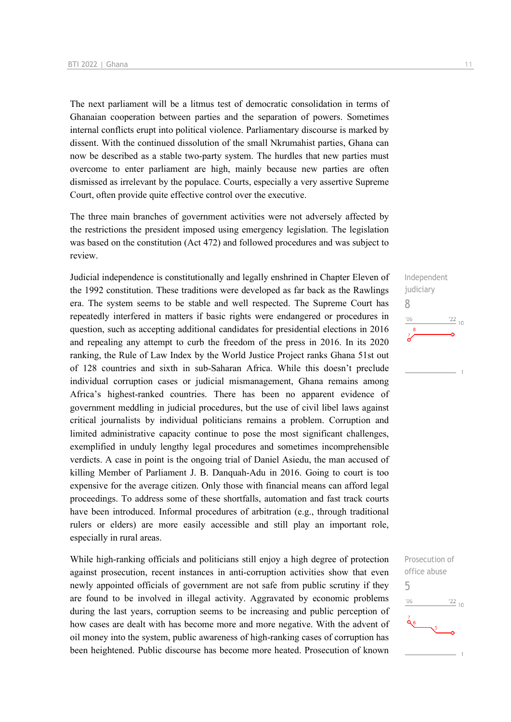The next parliament will be a litmus test of democratic consolidation in terms of Ghanaian cooperation between parties and the separation of powers. Sometimes internal conflicts erupt into political violence. Parliamentary discourse is marked by dissent. With the continued dissolution of the small Nkrumahist parties, Ghana can now be described as a stable two-party system. The hurdles that new parties must overcome to enter parliament are high, mainly because new parties are often dismissed as irrelevant by the populace. Courts, especially a very assertive Supreme Court, often provide quite effective control over the executive.

The three main branches of government activities were not adversely affected by the restrictions the president imposed using emergency legislation. The legislation was based on the constitution (Act 472) and followed procedures and was subject to review.

Judicial independence is constitutionally and legally enshrined in Chapter Eleven of the 1992 constitution. These traditions were developed as far back as the Rawlings era. The system seems to be stable and well respected. The Supreme Court has repeatedly interfered in matters if basic rights were endangered or procedures in question, such as accepting additional candidates for presidential elections in 2016 and repealing any attempt to curb the freedom of the press in 2016. In its 2020 ranking, the Rule of Law Index by the World Justice Project ranks Ghana 51st out of 128 countries and sixth in sub-Saharan Africa. While this doesn't preclude individual corruption cases or judicial mismanagement, Ghana remains among Africa's highest-ranked countries. There has been no apparent evidence of government meddling in judicial procedures, but the use of civil libel laws against critical journalists by individual politicians remains a problem. Corruption and limited administrative capacity continue to pose the most significant challenges, exemplified in unduly lengthy legal procedures and sometimes incomprehensible verdicts. A case in point is the ongoing trial of Daniel Asiedu, the man accused of killing Member of Parliament J. B. Danquah-Adu in 2016. Going to court is too expensive for the average citizen. Only those with financial means can afford legal proceedings. To address some of these shortfalls, automation and fast track courts have been introduced. Informal procedures of arbitration (e.g., through traditional rulers or elders) are more easily accessible and still play an important role, especially in rural areas.

While high-ranking officials and politicians still enjoy a high degree of protection against prosecution, recent instances in anti-corruption activities show that even newly appointed officials of government are not safe from public scrutiny if they are found to be involved in illegal activity. Aggravated by economic problems during the last years, corruption seems to be increasing and public perception of how cases are dealt with has become more and more negative. With the advent of oil money into the system, public awareness of high-ranking cases of corruption has been heightened. Public discourse has become more heated. Prosecution of known

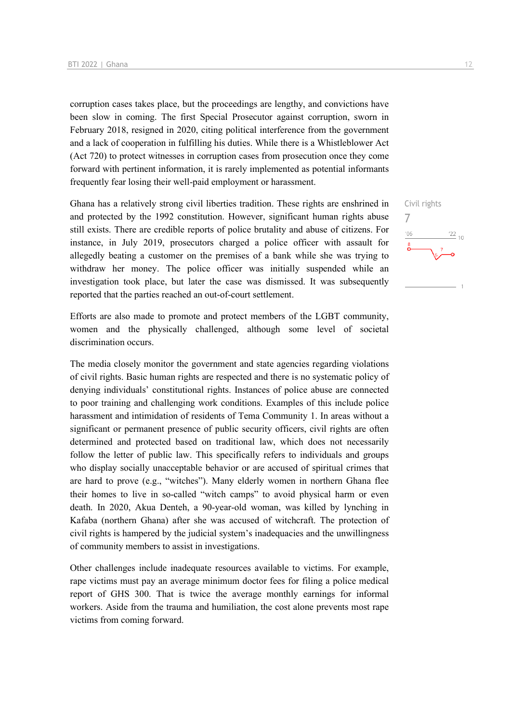corruption cases takes place, but the proceedings are lengthy, and convictions have been slow in coming. The first Special Prosecutor against corruption, sworn in February 2018, resigned in 2020, citing political interference from the government and a lack of cooperation in fulfilling his duties. While there is a Whistleblower Act (Act 720) to protect witnesses in corruption cases from prosecution once they come forward with pertinent information, it is rarely implemented as potential informants frequently fear losing their well-paid employment or harassment.

Ghana has a relatively strong civil liberties tradition. These rights are enshrined in and protected by the 1992 constitution. However, significant human rights abuse still exists. There are credible reports of police brutality and abuse of citizens. For instance, in July 2019, prosecutors charged a police officer with assault for allegedly beating a customer on the premises of a bank while she was trying to withdraw her money. The police officer was initially suspended while an investigation took place, but later the case was dismissed. It was subsequently reported that the parties reached an out-of-court settlement.

Efforts are also made to promote and protect members of the LGBT community, women and the physically challenged, although some level of societal discrimination occurs.

The media closely monitor the government and state agencies regarding violations of civil rights. Basic human rights are respected and there is no systematic policy of denying individuals' constitutional rights. Instances of police abuse are connected to poor training and challenging work conditions. Examples of this include police harassment and intimidation of residents of Tema Community 1. In areas without a significant or permanent presence of public security officers, civil rights are often determined and protected based on traditional law, which does not necessarily follow the letter of public law. This specifically refers to individuals and groups who display socially unacceptable behavior or are accused of spiritual crimes that are hard to prove (e.g., "witches"). Many elderly women in northern Ghana flee their homes to live in so-called "witch camps" to avoid physical harm or even death. In 2020, Akua Denteh, a 90-year-old woman, was killed by lynching in Kafaba (northern Ghana) after she was accused of witchcraft. The protection of civil rights is hampered by the judicial system's inadequacies and the unwillingness of community members to assist in investigations.

Other challenges include inadequate resources available to victims. For example, rape victims must pay an average minimum doctor fees for filing a police medical report of GHS 300. That is twice the average monthly earnings for informal workers. Aside from the trauma and humiliation, the cost alone prevents most rape victims from coming forward.

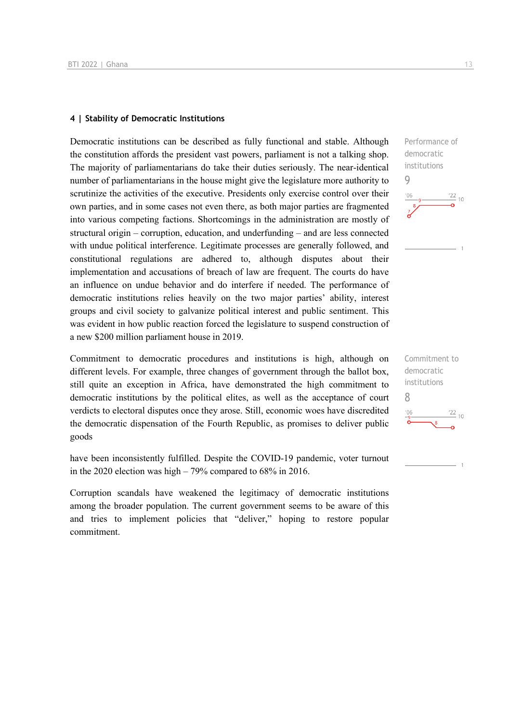### **4 | Stability of Democratic Institutions**

Democratic institutions can be described as fully functional and stable. Although the constitution affords the president vast powers, parliament is not a talking shop. The majority of parliamentarians do take their duties seriously. The near-identical number of parliamentarians in the house might give the legislature more authority to scrutinize the activities of the executive. Presidents only exercise control over their own parties, and in some cases not even there, as both major parties are fragmented into various competing factions. Shortcomings in the administration are mostly of structural origin – corruption, education, and underfunding – and are less connected with undue political interference. Legitimate processes are generally followed, and constitutional regulations are adhered to, although disputes about their implementation and accusations of breach of law are frequent. The courts do have an influence on undue behavior and do interfere if needed. The performance of democratic institutions relies heavily on the two major parties' ability, interest groups and civil society to galvanize political interest and public sentiment. This was evident in how public reaction forced the legislature to suspend construction of a new \$200 million parliament house in 2019.

Commitment to democratic procedures and institutions is high, although on different levels. For example, three changes of government through the ballot box, still quite an exception in Africa, have demonstrated the high commitment to democratic institutions by the political elites, as well as the acceptance of court verdicts to electoral disputes once they arose. Still, economic woes have discredited the democratic dispensation of the Fourth Republic, as promises to deliver public goods

have been inconsistently fulfilled. Despite the COVID-19 pandemic, voter turnout in the 2020 election was high – 79% compared to 68% in 2016.

Corruption scandals have weakened the legitimacy of democratic institutions among the broader population. The current government seems to be aware of this and tries to implement policies that "deliver," hoping to restore popular commitment.



Commitment to democratic institutions 8 $\frac{22}{10}$  $^{\prime}$ O $\epsilon$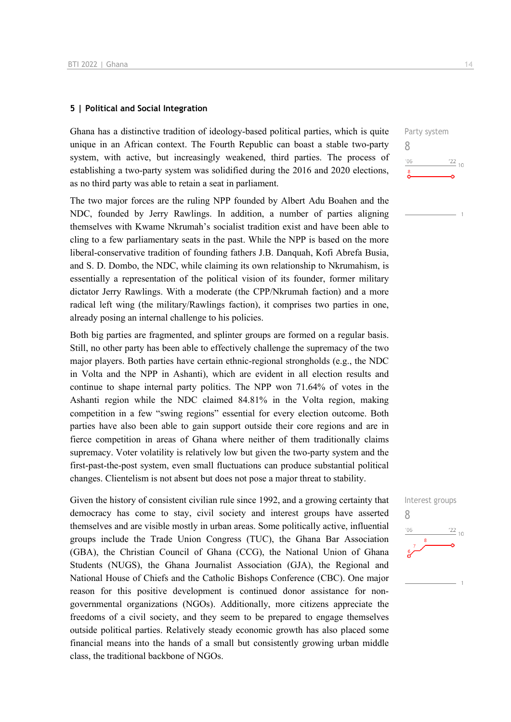### **5 | Political and Social Integration**

Ghana has a distinctive tradition of ideology-based political parties, which is quite unique in an African context. The Fourth Republic can boast a stable two-party system, with active, but increasingly weakened, third parties. The process of establishing a two-party system was solidified during the 2016 and 2020 elections, as no third party was able to retain a seat in parliament.

The two major forces are the ruling NPP founded by Albert Adu Boahen and the NDC, founded by Jerry Rawlings. In addition, a number of parties aligning themselves with Kwame Nkrumah's socialist tradition exist and have been able to cling to a few parliamentary seats in the past. While the NPP is based on the more liberal-conservative tradition of founding fathers J.B. Danquah, Kofi Abrefa Busia, and S. D. Dombo, the NDC, while claiming its own relationship to Nkrumahism, is essentially a representation of the political vision of its founder, former military dictator Jerry Rawlings. With a moderate (the CPP/Nkrumah faction) and a more radical left wing (the military/Rawlings faction), it comprises two parties in one, already posing an internal challenge to his policies.

Both big parties are fragmented, and splinter groups are formed on a regular basis. Still, no other party has been able to effectively challenge the supremacy of the two major players. Both parties have certain ethnic-regional strongholds (e.g., the NDC in Volta and the NPP in Ashanti), which are evident in all election results and continue to shape internal party politics. The NPP won 71.64% of votes in the Ashanti region while the NDC claimed 84.81% in the Volta region, making competition in a few "swing regions" essential for every election outcome. Both parties have also been able to gain support outside their core regions and are in fierce competition in areas of Ghana where neither of them traditionally claims supremacy. Voter volatility is relatively low but given the two-party system and the first-past-the-post system, even small fluctuations can produce substantial political changes. Clientelism is not absent but does not pose a major threat to stability.

Given the history of consistent civilian rule since 1992, and a growing certainty that democracy has come to stay, civil society and interest groups have asserted themselves and are visible mostly in urban areas. Some politically active, influential groups include the Trade Union Congress (TUC), the Ghana Bar Association (GBA), the Christian Council of Ghana (CCG), the National Union of Ghana Students (NUGS), the Ghana Journalist Association (GJA), the Regional and National House of Chiefs and the Catholic Bishops Conference (CBC). One major reason for this positive development is continued donor assistance for nongovernmental organizations (NGOs). Additionally, more citizens appreciate the freedoms of a civil society, and they seem to be prepared to engage themselves outside political parties. Relatively steady economic growth has also placed some financial means into the hands of a small but consistently growing urban middle class, the traditional backbone of NGOs.

Party system 8  $\frac{22}{10}$  $-06$ 

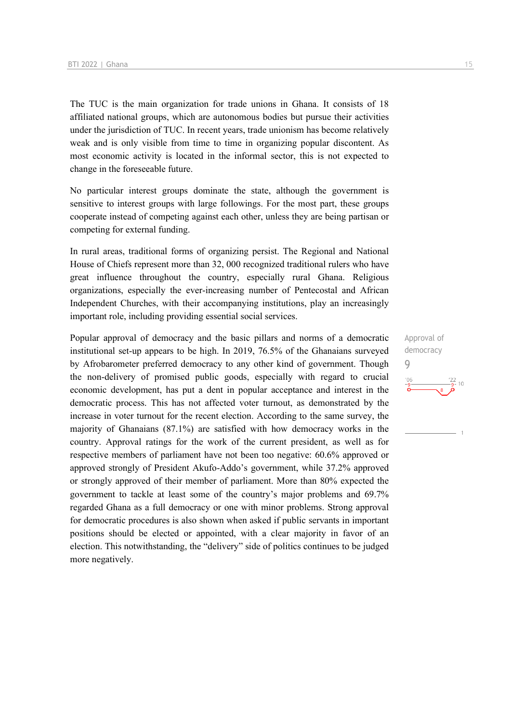The TUC is the main organization for trade unions in Ghana. It consists of 18 affiliated national groups, which are autonomous bodies but pursue their activities under the jurisdiction of TUC. In recent years, trade unionism has become relatively weak and is only visible from time to time in organizing popular discontent. As most economic activity is located in the informal sector, this is not expected to change in the foreseeable future.

No particular interest groups dominate the state, although the government is sensitive to interest groups with large followings. For the most part, these groups cooperate instead of competing against each other, unless they are being partisan or competing for external funding.

In rural areas, traditional forms of organizing persist. The Regional and National House of Chiefs represent more than 32, 000 recognized traditional rulers who have great influence throughout the country, especially rural Ghana. Religious organizations, especially the ever-increasing number of Pentecostal and African Independent Churches, with their accompanying institutions, play an increasingly important role, including providing essential social services.

Popular approval of democracy and the basic pillars and norms of a democratic institutional set-up appears to be high. In 2019, 76.5% of the Ghanaians surveyed by Afrobarometer preferred democracy to any other kind of government. Though the non-delivery of promised public goods, especially with regard to crucial economic development, has put a dent in popular acceptance and interest in the democratic process. This has not affected voter turnout, as demonstrated by the increase in voter turnout for the recent election. According to the same survey, the majority of Ghanaians (87.1%) are satisfied with how democracy works in the country. Approval ratings for the work of the current president, as well as for respective members of parliament have not been too negative: 60.6% approved or approved strongly of President Akufo-Addo's government, while 37.2% approved or strongly approved of their member of parliament. More than 80% expected the government to tackle at least some of the country's major problems and 69.7% regarded Ghana as a full democracy or one with minor problems. Strong approval for democratic procedures is also shown when asked if public servants in important positions should be elected or appointed, with a clear majority in favor of an election. This notwithstanding, the "delivery" side of politics continues to be judged more negatively.

Approval of democracy 9 $106$  $10$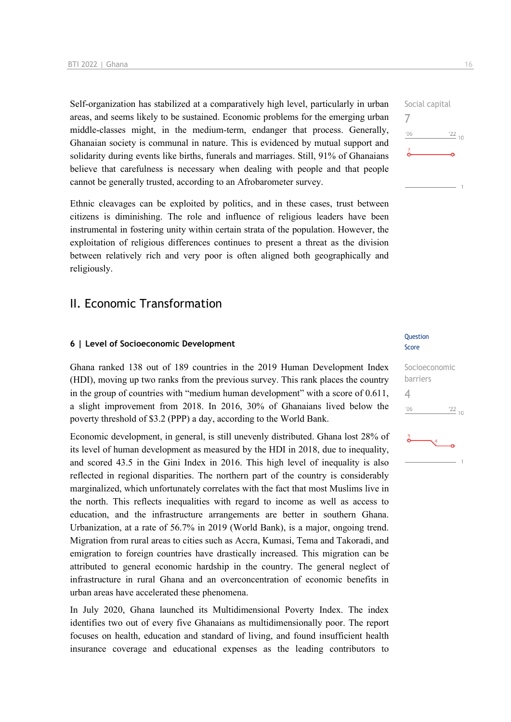Self-organization has stabilized at a comparatively high level, particularly in urban areas, and seems likely to be sustained. Economic problems for the emerging urban middle-classes might, in the medium-term, endanger that process. Generally, Ghanaian society is communal in nature. This is evidenced by mutual support and solidarity during events like births, funerals and marriages. Still, 91% of Ghanaians believe that carefulness is necessary when dealing with people and that people cannot be generally trusted, according to an Afrobarometer survey.

Ethnic cleavages can be exploited by politics, and in these cases, trust between citizens is diminishing. The role and influence of religious leaders have been instrumental in fostering unity within certain strata of the population. However, the exploitation of religious differences continues to present a threat as the division between relatively rich and very poor is often aligned both geographically and religiously.

### II. Economic Transformation

### **6 | Level of Socioeconomic Development**

Ghana ranked 138 out of 189 countries in the 2019 Human Development Index (HDI), moving up two ranks from the previous survey. This rank places the country in the group of countries with "medium human development" with a score of 0.611, a slight improvement from 2018. In 2016, 30% of Ghanaians lived below the poverty threshold of \$3.2 (PPP) a day, according to the World Bank.

Economic development, in general, is still unevenly distributed. Ghana lost 28% of its level of human development as measured by the HDI in 2018, due to inequality, and scored 43.5 in the Gini Index in 2016. This high level of inequality is also reflected in regional disparities. The northern part of the country is considerably marginalized, which unfortunately correlates with the fact that most Muslims live in the north. This reflects inequalities with regard to income as well as access to education, and the infrastructure arrangements are better in southern Ghana. Urbanization, at a rate of 56.7% in 2019 (World Bank), is a major, ongoing trend. Migration from rural areas to cities such as Accra, Kumasi, Tema and Takoradi, and emigration to foreign countries have drastically increased. This migration can be attributed to general economic hardship in the country. The general neglect of infrastructure in rural Ghana and an overconcentration of economic benefits in urban areas have accelerated these phenomena.

In July 2020, Ghana launched its Multidimensional Poverty Index. The index identifies two out of every five Ghanaians as multidimensionally poor. The report focuses on health, education and standard of living, and found insufficient health insurance coverage and educational expenses as the leading contributors to

### Question Score

# Socioeconomic barriers  $\Delta$  $\frac{22}{10}$  $-06$  $\sqrt{4}$

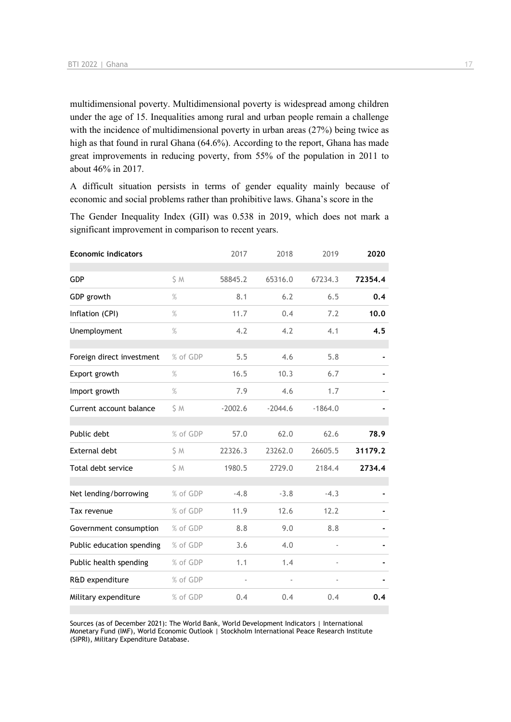multidimensional poverty. Multidimensional poverty is widespread among children under the age of 15. Inequalities among rural and urban people remain a challenge with the incidence of multidimensional poverty in urban areas (27%) being twice as high as that found in rural Ghana (64.6%). According to the report, Ghana has made great improvements in reducing poverty, from 55% of the population in 2011 to about 46% in 2017.

A difficult situation persists in terms of gender equality mainly because of economic and social problems rather than prohibitive laws. Ghana's score in the

The Gender Inequality Index (GII) was 0.538 in 2019, which does not mark a significant improvement in comparison to recent years.

| <b>Economic indicators</b> |          | 2017      | 2018      | 2019      | 2020    |
|----------------------------|----------|-----------|-----------|-----------|---------|
| GDP                        | S M      | 58845.2   | 65316.0   | 67234.3   | 72354.4 |
| GDP growth                 | $\%$     | 8.1       | 6.2       | 6.5       | 0.4     |
| Inflation (CPI)            | $\%$     | 11.7      | 0.4       | 7.2       | 10.0    |
| Unemployment               | $\%$     | 4.2       | 4.2       | 4.1       | 4.5     |
| Foreign direct investment  | % of GDP | 5.5       | 4.6       | 5.8       |         |
| Export growth              | $\%$     | 16.5      | 10.3      | 6.7       |         |
| Import growth              | $\%$     | 7.9       | 4.6       | 1.7       |         |
| Current account balance    | S M      | $-2002.6$ | $-2044.6$ | $-1864.0$ |         |
| Public debt                | % of GDP | 57.0      | 62.0      | 62.6      | 78.9    |
| External debt              | S M      | 22326.3   | 23262.0   | 26605.5   | 31179.2 |
| Total debt service         | \$ M     | 1980.5    | 2729.0    | 2184.4    | 2734.4  |
| Net lending/borrowing      | % of GDP | $-4.8$    | $-3.8$    | $-4.3$    |         |
| Tax revenue                | % of GDP | 11.9      | 12.6      | 12.2      |         |
| Government consumption     | % of GDP | 8.8       | 9.0       | 8.8       |         |
| Public education spending  | % of GDP | 3.6       | 4.0       |           |         |
| Public health spending     | % of GDP | 1.1       | 1.4       |           |         |
| R&D expenditure            | % of GDP |           | ÷,        |           |         |
| Military expenditure       | % of GDP | 0.4       | 0.4       | 0.4       | 0.4     |

Sources (as of December 2021): The World Bank, World Development Indicators | International Monetary Fund (IMF), World Economic Outlook | Stockholm International Peace Research Institute (SIPRI), Military Expenditure Database.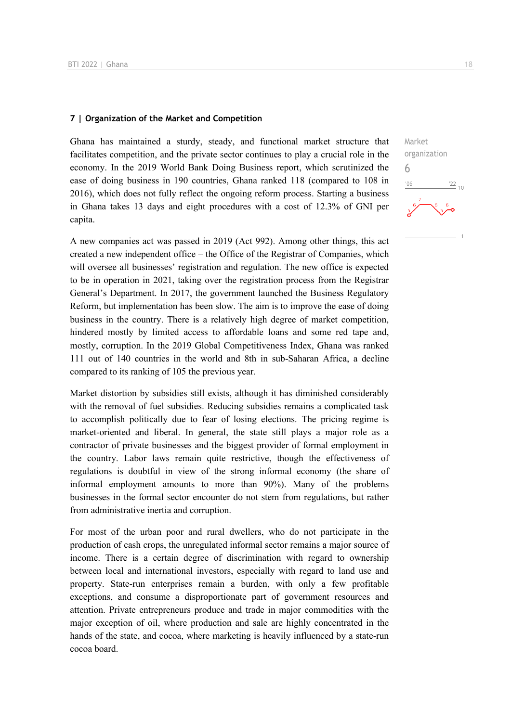### **7 | Organization of the Market and Competition**

Ghana has maintained a sturdy, steady, and functional market structure that facilitates competition, and the private sector continues to play a crucial role in the economy. In the 2019 World Bank Doing Business report, which scrutinized the ease of doing business in 190 countries, Ghana ranked 118 (compared to 108 in 2016), which does not fully reflect the ongoing reform process. Starting a business in Ghana takes 13 days and eight procedures with a cost of 12.3% of GNI per capita.

A new companies act was passed in 2019 (Act 992). Among other things, this act created a new independent office – the Office of the Registrar of Companies, which will oversee all businesses' registration and regulation. The new office is expected to be in operation in 2021, taking over the registration process from the Registrar General's Department. In 2017, the government launched the Business Regulatory Reform, but implementation has been slow. The aim is to improve the ease of doing business in the country. There is a relatively high degree of market competition, hindered mostly by limited access to affordable loans and some red tape and, mostly, corruption. In the 2019 Global Competitiveness Index, Ghana was ranked 111 out of 140 countries in the world and 8th in sub-Saharan Africa, a decline compared to its ranking of 105 the previous year.

Market distortion by subsidies still exists, although it has diminished considerably with the removal of fuel subsidies. Reducing subsidies remains a complicated task to accomplish politically due to fear of losing elections. The pricing regime is market-oriented and liberal. In general, the state still plays a major role as a contractor of private businesses and the biggest provider of formal employment in the country. Labor laws remain quite restrictive, though the effectiveness of regulations is doubtful in view of the strong informal economy (the share of informal employment amounts to more than 90%). Many of the problems businesses in the formal sector encounter do not stem from regulations, but rather from administrative inertia and corruption.

For most of the urban poor and rural dwellers, who do not participate in the production of cash crops, the unregulated informal sector remains a major source of income. There is a certain degree of discrimination with regard to ownership between local and international investors, especially with regard to land use and property. State-run enterprises remain a burden, with only a few profitable exceptions, and consume a disproportionate part of government resources and attention. Private entrepreneurs produce and trade in major commodities with the major exception of oil, where production and sale are highly concentrated in the hands of the state, and cocoa, where marketing is heavily influenced by a state-run cocoa board.

Market organization 6 $\frac{22}{10}$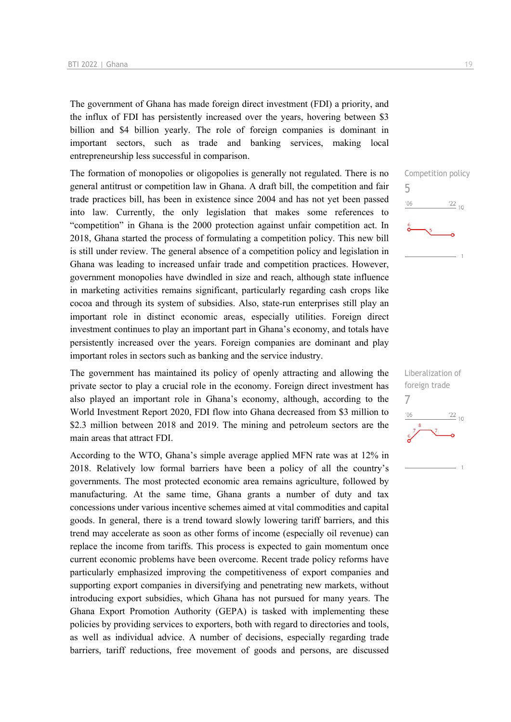The government of Ghana has made foreign direct investment (FDI) a priority, and the influx of FDI has persistently increased over the years, hovering between \$3 billion and \$4 billion yearly. The role of foreign companies is dominant in important sectors, such as trade and banking services, making local entrepreneurship less successful in comparison.

The formation of monopolies or oligopolies is generally not regulated. There is no general antitrust or competition law in Ghana. A draft bill, the competition and fair trade practices bill, has been in existence since 2004 and has not yet been passed into law. Currently, the only legislation that makes some references to "competition" in Ghana is the 2000 protection against unfair competition act. In 2018, Ghana started the process of formulating a competition policy. This new bill is still under review. The general absence of a competition policy and legislation in Ghana was leading to increased unfair trade and competition practices. However, government monopolies have dwindled in size and reach, although state influence in marketing activities remains significant, particularly regarding cash crops like cocoa and through its system of subsidies. Also, state-run enterprises still play an important role in distinct economic areas, especially utilities. Foreign direct investment continues to play an important part in Ghana's economy, and totals have persistently increased over the years. Foreign companies are dominant and play important roles in sectors such as banking and the service industry.

The government has maintained its policy of openly attracting and allowing the private sector to play a crucial role in the economy. Foreign direct investment has also played an important role in Ghana's economy, although, according to the World Investment Report 2020, FDI flow into Ghana decreased from \$3 million to \$2.3 million between 2018 and 2019. The mining and petroleum sectors are the main areas that attract FDI.

According to the WTO, Ghana's simple average applied MFN rate was at 12% in 2018. Relatively low formal barriers have been a policy of all the country's governments. The most protected economic area remains agriculture, followed by manufacturing. At the same time, Ghana grants a number of duty and tax concessions under various incentive schemes aimed at vital commodities and capital goods. In general, there is a trend toward slowly lowering tariff barriers, and this trend may accelerate as soon as other forms of income (especially oil revenue) can replace the income from tariffs. This process is expected to gain momentum once current economic problems have been overcome. Recent trade policy reforms have particularly emphasized improving the competitiveness of export companies and supporting export companies in diversifying and penetrating new markets, without introducing export subsidies, which Ghana has not pursued for many years. The Ghana Export Promotion Authority (GEPA) is tasked with implementing these policies by providing services to exporters, both with regard to directories and tools, as well as individual advice. A number of decisions, especially regarding trade barriers, tariff reductions, free movement of goods and persons, are discussed Competition policy 5  $^{\prime}06$  $\frac{22}{10}$ 

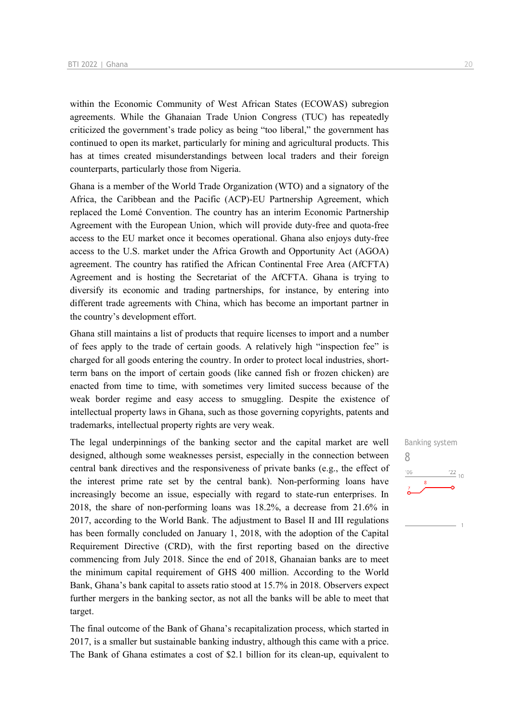within the Economic Community of West African States (ECOWAS) subregion agreements. While the Ghanaian Trade Union Congress (TUC) has repeatedly criticized the government's trade policy as being "too liberal," the government has continued to open its market, particularly for mining and agricultural products. This has at times created misunderstandings between local traders and their foreign counterparts, particularly those from Nigeria.

Ghana is a member of the World Trade Organization (WTO) and a signatory of the Africa, the Caribbean and the Pacific (ACP)-EU Partnership Agreement, which replaced the Lomé Convention. The country has an interim Economic Partnership Agreement with the European Union, which will provide duty-free and quota-free access to the EU market once it becomes operational. Ghana also enjoys duty-free access to the U.S. market under the Africa Growth and Opportunity Act (AGOA) agreement. The country has ratified the African Continental Free Area (AfCFTA) Agreement and is hosting the Secretariat of the AfCFTA. Ghana is trying to diversify its economic and trading partnerships, for instance, by entering into different trade agreements with China, which has become an important partner in the country's development effort.

Ghana still maintains a list of products that require licenses to import and a number of fees apply to the trade of certain goods. A relatively high "inspection fee" is charged for all goods entering the country. In order to protect local industries, shortterm bans on the import of certain goods (like canned fish or frozen chicken) are enacted from time to time, with sometimes very limited success because of the weak border regime and easy access to smuggling. Despite the existence of intellectual property laws in Ghana, such as those governing copyrights, patents and trademarks, intellectual property rights are very weak.

The legal underpinnings of the banking sector and the capital market are well designed, although some weaknesses persist, especially in the connection between central bank directives and the responsiveness of private banks (e.g., the effect of the interest prime rate set by the central bank). Non-performing loans have increasingly become an issue, especially with regard to state-run enterprises. In 2018, the share of non-performing loans was 18.2%, a decrease from 21.6% in 2017, according to the World Bank. The adjustment to Basel II and III regulations has been formally concluded on January 1, 2018, with the adoption of the Capital Requirement Directive (CRD), with the first reporting based on the directive commencing from July 2018. Since the end of 2018, Ghanaian banks are to meet the minimum capital requirement of GHS 400 million. According to the World Bank, Ghana's bank capital to assets ratio stood at 15.7% in 2018. Observers expect further mergers in the banking sector, as not all the banks will be able to meet that target.

The final outcome of the Bank of Ghana's recapitalization process, which started in 2017, is a smaller but sustainable banking industry, although this came with a price. The Bank of Ghana estimates a cost of \$2.1 billion for its clean-up, equivalent to

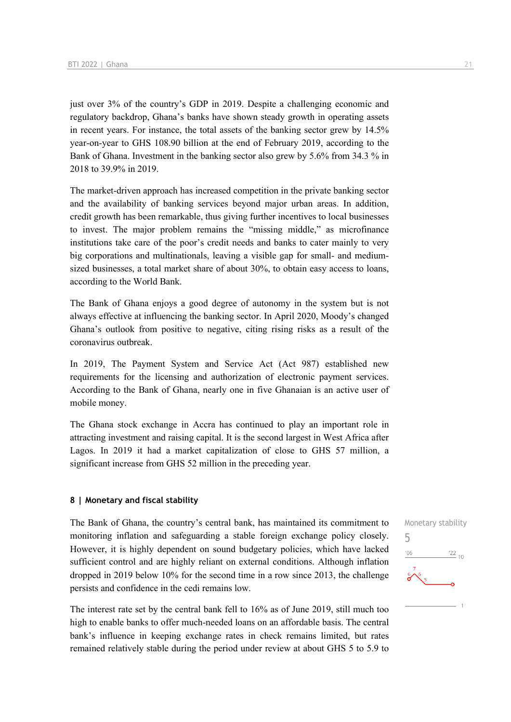just over 3% of the country's GDP in 2019. Despite a challenging economic and regulatory backdrop, Ghana's banks have shown steady growth in operating assets in recent years. For instance, the total assets of the banking sector grew by 14.5% year-on-year to GHS 108.90 billion at the end of February 2019, according to the Bank of Ghana. Investment in the banking sector also grew by 5.6% from 34.3 % in 2018 to 39.9% in 2019.

The market-driven approach has increased competition in the private banking sector and the availability of banking services beyond major urban areas. In addition, credit growth has been remarkable, thus giving further incentives to local businesses to invest. The major problem remains the "missing middle," as microfinance institutions take care of the poor's credit needs and banks to cater mainly to very big corporations and multinationals, leaving a visible gap for small- and mediumsized businesses, a total market share of about 30%, to obtain easy access to loans, according to the World Bank.

The Bank of Ghana enjoys a good degree of autonomy in the system but is not always effective at influencing the banking sector. In April 2020, Moody's changed Ghana's outlook from positive to negative, citing rising risks as a result of the coronavirus outbreak.

In 2019, The Payment System and Service Act (Act 987) established new requirements for the licensing and authorization of electronic payment services. According to the Bank of Ghana, nearly one in five Ghanaian is an active user of mobile money.

The Ghana stock exchange in Accra has continued to play an important role in attracting investment and raising capital. It is the second largest in West Africa after Lagos. In 2019 it had a market capitalization of close to GHS 57 million, a significant increase from GHS 52 million in the preceding year.

### **8 | Monetary and fiscal stability**

The Bank of Ghana, the country's central bank, has maintained its commitment to monitoring inflation and safeguarding a stable foreign exchange policy closely. However, it is highly dependent on sound budgetary policies, which have lacked sufficient control and are highly reliant on external conditions. Although inflation dropped in 2019 below 10% for the second time in a row since 2013, the challenge persists and confidence in the cedi remains low.

The interest rate set by the central bank fell to 16% as of June 2019, still much too high to enable banks to offer much-needed loans on an affordable basis. The central bank's influence in keeping exchange rates in check remains limited, but rates remained relatively stable during the period under review at about GHS 5 to 5.9 to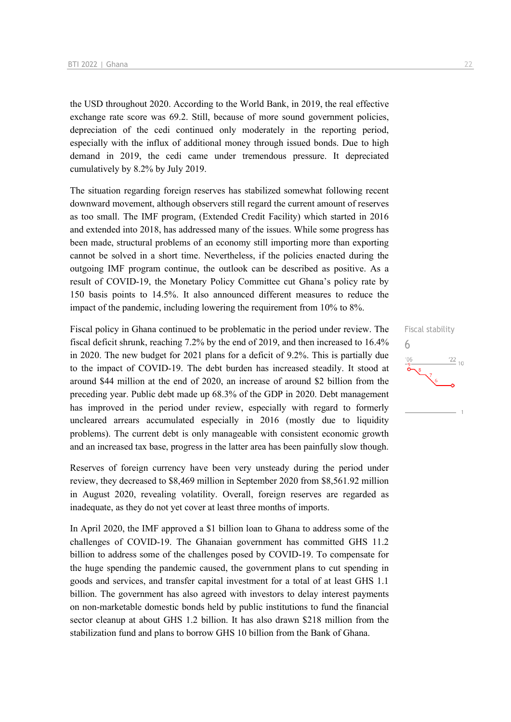the USD throughout 2020. According to the World Bank, in 2019, the real effective exchange rate score was 69.2. Still, because of more sound government policies, depreciation of the cedi continued only moderately in the reporting period, especially with the influx of additional money through issued bonds. Due to high demand in 2019, the cedi came under tremendous pressure. It depreciated cumulatively by 8.2% by July 2019.

The situation regarding foreign reserves has stabilized somewhat following recent downward movement, although observers still regard the current amount of reserves as too small. The IMF program, (Extended Credit Facility) which started in 2016 and extended into 2018, has addressed many of the issues. While some progress has been made, structural problems of an economy still importing more than exporting cannot be solved in a short time. Nevertheless, if the policies enacted during the outgoing IMF program continue, the outlook can be described as positive. As a result of COVID-19, the Monetary Policy Committee cut Ghana's policy rate by 150 basis points to 14.5%. It also announced different measures to reduce the impact of the pandemic, including lowering the requirement from 10% to 8%.

Fiscal policy in Ghana continued to be problematic in the period under review. The fiscal deficit shrunk, reaching 7.2% by the end of 2019, and then increased to 16.4% in 2020. The new budget for 2021 plans for a deficit of 9.2%. This is partially due to the impact of COVID-19. The debt burden has increased steadily. It stood at around \$44 million at the end of 2020, an increase of around \$2 billion from the preceding year. Public debt made up 68.3% of the GDP in 2020. Debt management has improved in the period under review, especially with regard to formerly uncleared arrears accumulated especially in 2016 (mostly due to liquidity problems). The current debt is only manageable with consistent economic growth and an increased tax base, progress in the latter area has been painfully slow though.

Reserves of foreign currency have been very unsteady during the period under review, they decreased to \$8,469 million in September 2020 from \$8,561.92 million in August 2020, revealing volatility. Overall, foreign reserves are regarded as inadequate, as they do not yet cover at least three months of imports.

In April 2020, the IMF approved a \$1 billion loan to Ghana to address some of the challenges of COVID-19. The Ghanaian government has committed GHS 11.2 billion to address some of the challenges posed by COVID-19. To compensate for the huge spending the pandemic caused, the government plans to cut spending in goods and services, and transfer capital investment for a total of at least GHS 1.1 billion. The government has also agreed with investors to delay interest payments on non-marketable domestic bonds held by public institutions to fund the financial sector cleanup at about GHS 1.2 billion. It has also drawn \$218 million from the stabilization fund and plans to borrow GHS 10 billion from the Bank of Ghana.

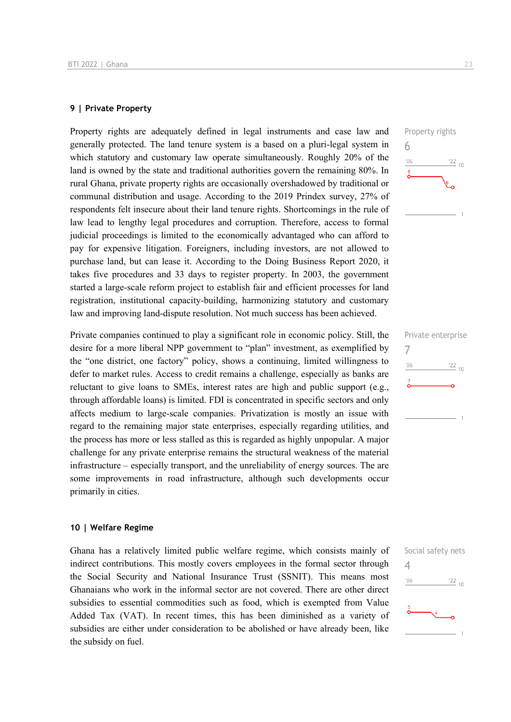### **9 | Private Property**

Property rights are adequately defined in legal instruments and case law and generally protected. The land tenure system is a based on a pluri-legal system in which statutory and customary law operate simultaneously. Roughly 20% of the land is owned by the state and traditional authorities govern the remaining 80%. In rural Ghana, private property rights are occasionally overshadowed by traditional or communal distribution and usage. According to the 2019 Prindex survey, 27% of respondents felt insecure about their land tenure rights. Shortcomings in the rule of law lead to lengthy legal procedures and corruption. Therefore, access to formal judicial proceedings is limited to the economically advantaged who can afford to pay for expensive litigation. Foreigners, including investors, are not allowed to purchase land, but can lease it. According to the Doing Business Report 2020, it takes five procedures and 33 days to register property. In 2003, the government started a large-scale reform project to establish fair and efficient processes for land registration, institutional capacity-building, harmonizing statutory and customary law and improving land-dispute resolution. Not much success has been achieved.

Private companies continued to play a significant role in economic policy. Still, the desire for a more liberal NPP government to "plan" investment, as exemplified by the "one district, one factory" policy, shows a continuing, limited willingness to defer to market rules. Access to credit remains a challenge, especially as banks are reluctant to give loans to SMEs, interest rates are high and public support (e.g., through affordable loans) is limited. FDI is concentrated in specific sectors and only affects medium to large-scale companies. Privatization is mostly an issue with regard to the remaining major state enterprises, especially regarding utilities, and the process has more or less stalled as this is regarded as highly unpopular. A major challenge for any private enterprise remains the structural weakness of the material infrastructure – especially transport, and the unreliability of energy sources. The are some improvements in road infrastructure, although such developments occur primarily in cities.

### **10 | Welfare Regime**

Ghana has a relatively limited public welfare regime, which consists mainly of indirect contributions. This mostly covers employees in the formal sector through the Social Security and National Insurance Trust (SSNIT). This means most Ghanaians who work in the informal sector are not covered. There are other direct subsidies to essential commodities such as food, which is exempted from Value Added Tax (VAT). In recent times, this has been diminished as a variety of subsidies are either under consideration to be abolished or have already been, like the subsidy on fuel.



|               | Private enterprise |
|---------------|--------------------|
| '06           | $\frac{22}{10}$    |
| $\frac{7}{1}$ |                    |
|               |                    |
|               |                    |

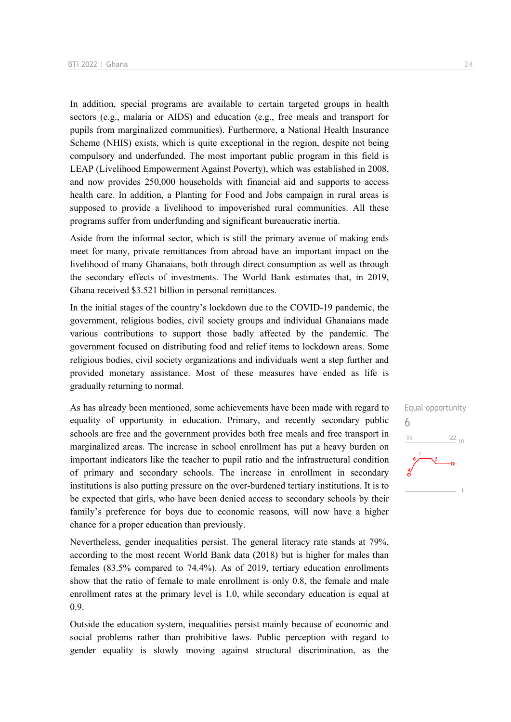In addition, special programs are available to certain targeted groups in health sectors (e.g., malaria or AIDS) and education (e.g., free meals and transport for pupils from marginalized communities). Furthermore, a National Health Insurance Scheme (NHIS) exists, which is quite exceptional in the region, despite not being compulsory and underfunded. The most important public program in this field is LEAP (Livelihood Empowerment Against Poverty), which was established in 2008, and now provides 250,000 households with financial aid and supports to access health care. In addition, a Planting for Food and Jobs campaign in rural areas is supposed to provide a livelihood to impoverished rural communities. All these programs suffer from underfunding and significant bureaucratic inertia.

Aside from the informal sector, which is still the primary avenue of making ends meet for many, private remittances from abroad have an important impact on the livelihood of many Ghanaians, both through direct consumption as well as through the secondary effects of investments. The World Bank estimates that, in 2019, Ghana received \$3.521 billion in personal remittances.

In the initial stages of the country's lockdown due to the COVID-19 pandemic, the government, religious bodies, civil society groups and individual Ghanaians made various contributions to support those badly affected by the pandemic. The government focused on distributing food and relief items to lockdown areas. Some religious bodies, civil society organizations and individuals went a step further and provided monetary assistance. Most of these measures have ended as life is gradually returning to normal.

As has already been mentioned, some achievements have been made with regard to equality of opportunity in education. Primary, and recently secondary public schools are free and the government provides both free meals and free transport in marginalized areas. The increase in school enrollment has put a heavy burden on important indicators like the teacher to pupil ratio and the infrastructural condition of primary and secondary schools. The increase in enrollment in secondary institutions is also putting pressure on the over-burdened tertiary institutions. It is to be expected that girls, who have been denied access to secondary schools by their family's preference for boys due to economic reasons, will now have a higher chance for a proper education than previously.

Nevertheless, gender inequalities persist. The general literacy rate stands at 79%, according to the most recent World Bank data (2018) but is higher for males than females (83.5% compared to 74.4%). As of 2019, tertiary education enrollments show that the ratio of female to male enrollment is only 0.8, the female and male enrollment rates at the primary level is 1.0, while secondary education is equal at 0.9.

Outside the education system, inequalities persist mainly because of economic and social problems rather than prohibitive laws. Public perception with regard to gender equality is slowly moving against structural discrimination, as the

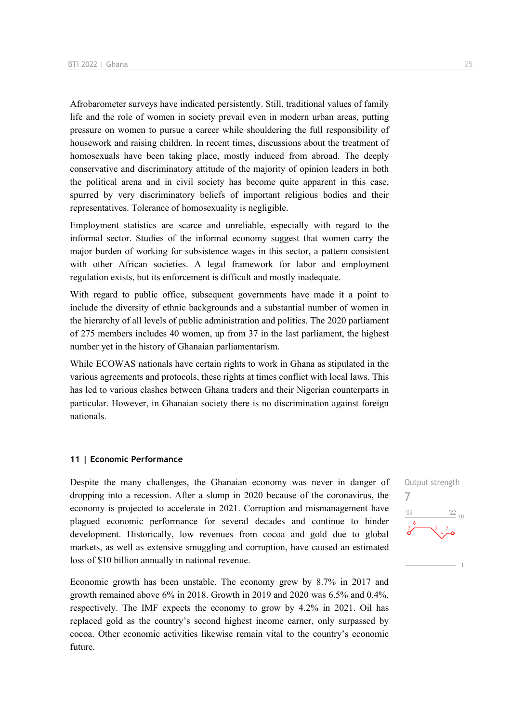Afrobarometer surveys have indicated persistently. Still, traditional values of family life and the role of women in society prevail even in modern urban areas, putting pressure on women to pursue a career while shouldering the full responsibility of housework and raising children. In recent times, discussions about the treatment of homosexuals have been taking place, mostly induced from abroad. The deeply conservative and discriminatory attitude of the majority of opinion leaders in both the political arena and in civil society has become quite apparent in this case, spurred by very discriminatory beliefs of important religious bodies and their representatives. Tolerance of homosexuality is negligible.

Employment statistics are scarce and unreliable, especially with regard to the informal sector. Studies of the informal economy suggest that women carry the major burden of working for subsistence wages in this sector, a pattern consistent with other African societies. A legal framework for labor and employment regulation exists, but its enforcement is difficult and mostly inadequate.

With regard to public office, subsequent governments have made it a point to include the diversity of ethnic backgrounds and a substantial number of women in the hierarchy of all levels of public administration and politics. The 2020 parliament of 275 members includes 40 women, up from 37 in the last parliament, the highest number yet in the history of Ghanaian parliamentarism.

While ECOWAS nationals have certain rights to work in Ghana as stipulated in the various agreements and protocols, these rights at times conflict with local laws. This has led to various clashes between Ghana traders and their Nigerian counterparts in particular. However, in Ghanaian society there is no discrimination against foreign nationals.

### **11 | Economic Performance**

Despite the many challenges, the Ghanaian economy was never in danger of dropping into a recession. After a slump in 2020 because of the coronavirus, the economy is projected to accelerate in 2021. Corruption and mismanagement have plagued economic performance for several decades and continue to hinder development. Historically, low revenues from cocoa and gold due to global markets, as well as extensive smuggling and corruption, have caused an estimated loss of \$10 billion annually in national revenue.

Economic growth has been unstable. The economy grew by 8.7% in 2017 and growth remained above 6% in 2018. Growth in 2019 and 2020 was 6.5% and 0.4%, respectively. The IMF expects the economy to grow by 4.2% in 2021. Oil has replaced gold as the country's second highest income earner, only surpassed by cocoa. Other economic activities likewise remain vital to the country's economic future.

Output strength 7 $\frac{22}{10}$  $106$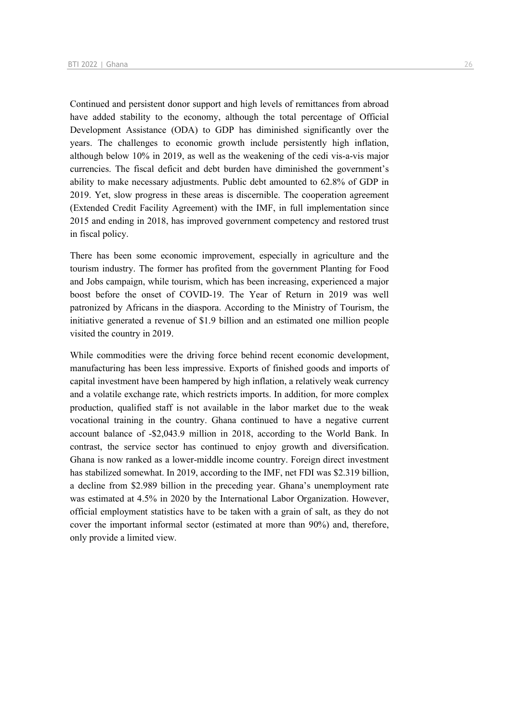Continued and persistent donor support and high levels of remittances from abroad have added stability to the economy, although the total percentage of Official Development Assistance (ODA) to GDP has diminished significantly over the years. The challenges to economic growth include persistently high inflation, although below 10% in 2019, as well as the weakening of the cedi vis-a-vis major currencies. The fiscal deficit and debt burden have diminished the government's ability to make necessary adjustments. Public debt amounted to 62.8% of GDP in 2019. Yet, slow progress in these areas is discernible. The cooperation agreement (Extended Credit Facility Agreement) with the IMF, in full implementation since 2015 and ending in 2018, has improved government competency and restored trust in fiscal policy.

There has been some economic improvement, especially in agriculture and the tourism industry. The former has profited from the government Planting for Food and Jobs campaign, while tourism, which has been increasing, experienced a major boost before the onset of COVID-19. The Year of Return in 2019 was well patronized by Africans in the diaspora. According to the Ministry of Tourism, the initiative generated a revenue of \$1.9 billion and an estimated one million people visited the country in 2019.

While commodities were the driving force behind recent economic development, manufacturing has been less impressive. Exports of finished goods and imports of capital investment have been hampered by high inflation, a relatively weak currency and a volatile exchange rate, which restricts imports. In addition, for more complex production, qualified staff is not available in the labor market due to the weak vocational training in the country. Ghana continued to have a negative current account balance of -\$2,043.9 million in 2018, according to the World Bank. In contrast, the service sector has continued to enjoy growth and diversification. Ghana is now ranked as a lower-middle income country. Foreign direct investment has stabilized somewhat. In 2019, according to the IMF, net FDI was \$2.319 billion, a decline from \$2.989 billion in the preceding year. Ghana's unemployment rate was estimated at 4.5% in 2020 by the International Labor Organization. However, official employment statistics have to be taken with a grain of salt, as they do not cover the important informal sector (estimated at more than 90%) and, therefore, only provide a limited view.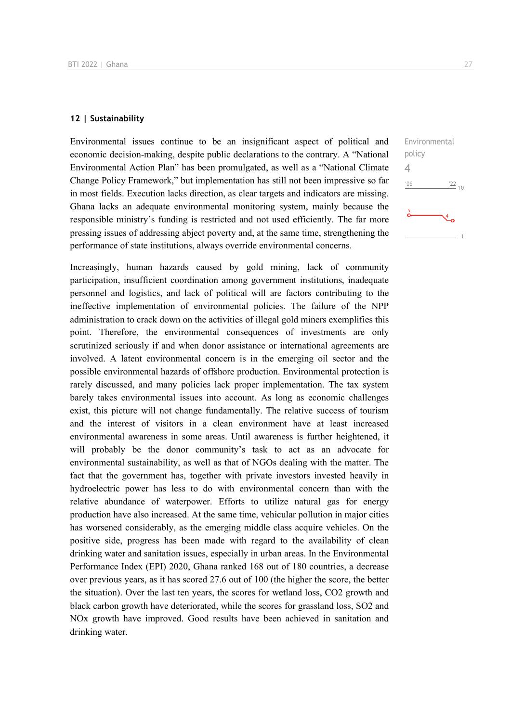### **12 | Sustainability**

Environmental issues continue to be an insignificant aspect of political and economic decision-making, despite public declarations to the contrary. A "National Environmental Action Plan" has been promulgated, as well as a "National Climate Change Policy Framework," but implementation has still not been impressive so far in most fields. Execution lacks direction, as clear targets and indicators are missing. Ghana lacks an adequate environmental monitoring system, mainly because the responsible ministry's funding is restricted and not used efficiently. The far more pressing issues of addressing abject poverty and, at the same time, strengthening the performance of state institutions, always override environmental concerns.

Increasingly, human hazards caused by gold mining, lack of community participation, insufficient coordination among government institutions, inadequate personnel and logistics, and lack of political will are factors contributing to the ineffective implementation of environmental policies. The failure of the NPP administration to crack down on the activities of illegal gold miners exemplifies this point. Therefore, the environmental consequences of investments are only scrutinized seriously if and when donor assistance or international agreements are involved. A latent environmental concern is in the emerging oil sector and the possible environmental hazards of offshore production. Environmental protection is rarely discussed, and many policies lack proper implementation. The tax system barely takes environmental issues into account. As long as economic challenges exist, this picture will not change fundamentally. The relative success of tourism and the interest of visitors in a clean environment have at least increased environmental awareness in some areas. Until awareness is further heightened, it will probably be the donor community's task to act as an advocate for environmental sustainability, as well as that of NGOs dealing with the matter. The fact that the government has, together with private investors invested heavily in hydroelectric power has less to do with environmental concern than with the relative abundance of waterpower. Efforts to utilize natural gas for energy production have also increased. At the same time, vehicular pollution in major cities has worsened considerably, as the emerging middle class acquire vehicles. On the positive side, progress has been made with regard to the availability of clean drinking water and sanitation issues, especially in urban areas. In the Environmental Performance Index (EPI) 2020, Ghana ranked 168 out of 180 countries, a decrease over previous years, as it has scored 27.6 out of 100 (the higher the score, the better the situation). Over the last ten years, the scores for wetland loss, CO2 growth and black carbon growth have deteriorated, while the scores for grassland loss, SO2 and NOx growth have improved. Good results have been achieved in sanitation and drinking water.

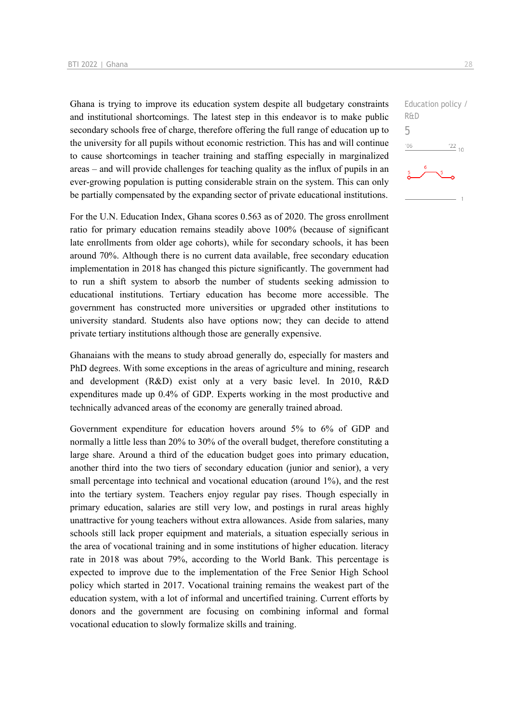Ghana is trying to improve its education system despite all budgetary constraints and institutional shortcomings. The latest step in this endeavor is to make public secondary schools free of charge, therefore offering the full range of education up to the university for all pupils without economic restriction. This has and will continue to cause shortcomings in teacher training and staffing especially in marginalized areas – and will provide challenges for teaching quality as the influx of pupils in an ever-growing population is putting considerable strain on the system. This can only be partially compensated by the expanding sector of private educational institutions.

For the U.N. Education Index, Ghana scores 0.563 as of 2020. The gross enrollment ratio for primary education remains steadily above 100% (because of significant late enrollments from older age cohorts), while for secondary schools, it has been around 70%. Although there is no current data available, free secondary education implementation in 2018 has changed this picture significantly. The government had to run a shift system to absorb the number of students seeking admission to educational institutions. Tertiary education has become more accessible. The government has constructed more universities or upgraded other institutions to university standard. Students also have options now; they can decide to attend private tertiary institutions although those are generally expensive.

Ghanaians with the means to study abroad generally do, especially for masters and PhD degrees. With some exceptions in the areas of agriculture and mining, research and development (R&D) exist only at a very basic level. In 2010, R&D expenditures made up 0.4% of GDP. Experts working in the most productive and technically advanced areas of the economy are generally trained abroad.

Government expenditure for education hovers around 5% to 6% of GDP and normally a little less than 20% to 30% of the overall budget, therefore constituting a large share. Around a third of the education budget goes into primary education, another third into the two tiers of secondary education (junior and senior), a very small percentage into technical and vocational education (around 1%), and the rest into the tertiary system. Teachers enjoy regular pay rises. Though especially in primary education, salaries are still very low, and postings in rural areas highly unattractive for young teachers without extra allowances. Aside from salaries, many schools still lack proper equipment and materials, a situation especially serious in the area of vocational training and in some institutions of higher education. literacy rate in 2018 was about 79%, according to the World Bank. This percentage is expected to improve due to the implementation of the Free Senior High School policy which started in 2017. Vocational training remains the weakest part of the education system, with a lot of informal and uncertified training. Current efforts by donors and the government are focusing on combining informal and formal vocational education to slowly formalize skills and training.

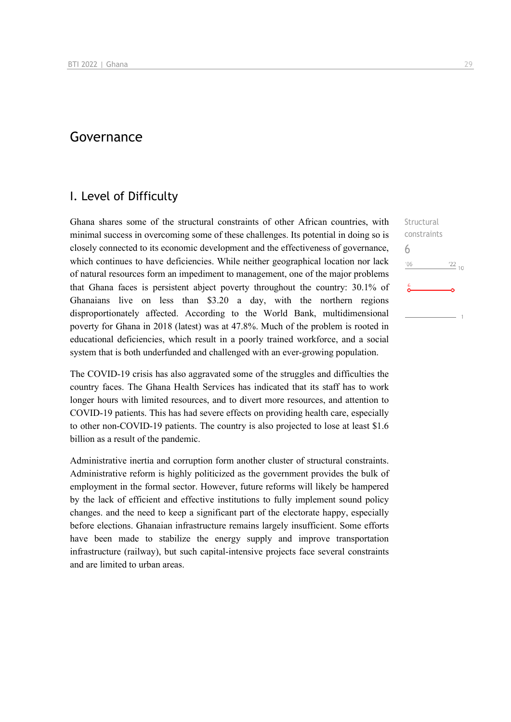# Governance

### I. Level of Difficulty

Ghana shares some of the structural constraints of other African countries, with minimal success in overcoming some of these challenges. Its potential in doing so is closely connected to its economic development and the effectiveness of governance, which continues to have deficiencies. While neither geographical location nor lack of natural resources form an impediment to management, one of the major problems that Ghana faces is persistent abject poverty throughout the country: 30.1% of Ghanaians live on less than \$3.20 a day, with the northern regions disproportionately affected. According to the World Bank, multidimensional poverty for Ghana in 2018 (latest) was at 47.8%. Much of the problem is rooted in educational deficiencies, which result in a poorly trained workforce, and a social system that is both underfunded and challenged with an ever-growing population.

The COVID-19 crisis has also aggravated some of the struggles and difficulties the country faces. The Ghana Health Services has indicated that its staff has to work longer hours with limited resources, and to divert more resources, and attention to COVID-19 patients. This has had severe effects on providing health care, especially to other non-COVID-19 patients. The country is also projected to lose at least \$1.6 billion as a result of the pandemic.

Administrative inertia and corruption form another cluster of structural constraints. Administrative reform is highly politicized as the government provides the bulk of employment in the formal sector. However, future reforms will likely be hampered by the lack of efficient and effective institutions to fully implement sound policy changes. and the need to keep a significant part of the electorate happy, especially before elections. Ghanaian infrastructure remains largely insufficient. Some efforts have been made to stabilize the energy supply and improve transportation infrastructure (railway), but such capital-intensive projects face several constraints and are limited to urban areas.

Structural constraints 6 $106$  $\frac{22}{10}$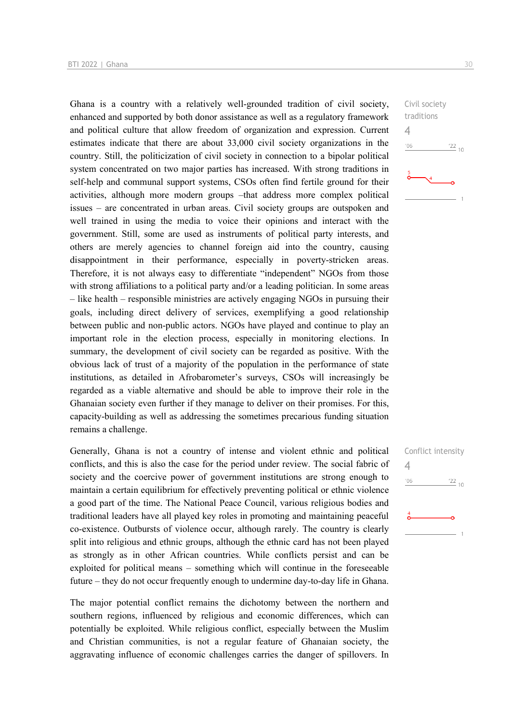Ghana is a country with a relatively well-grounded tradition of civil society, enhanced and supported by both donor assistance as well as a regulatory framework and political culture that allow freedom of organization and expression. Current estimates indicate that there are about 33,000 civil society organizations in the country. Still, the politicization of civil society in connection to a bipolar political system concentrated on two major parties has increased. With strong traditions in self-help and communal support systems, CSOs often find fertile ground for their activities, although more modern groups –that address more complex political issues – are concentrated in urban areas. Civil society groups are outspoken and well trained in using the media to voice their opinions and interact with the government. Still, some are used as instruments of political party interests, and others are merely agencies to channel foreign aid into the country, causing disappointment in their performance, especially in poverty-stricken areas. Therefore, it is not always easy to differentiate "independent" NGOs from those with strong affiliations to a political party and/or a leading politician. In some areas – like health – responsible ministries are actively engaging NGOs in pursuing their goals, including direct delivery of services, exemplifying a good relationship between public and non-public actors. NGOs have played and continue to play an important role in the election process, especially in monitoring elections. In summary, the development of civil society can be regarded as positive. With the obvious lack of trust of a majority of the population in the performance of state institutions, as detailed in Afrobarometer's surveys, CSOs will increasingly be regarded as a viable alternative and should be able to improve their role in the Ghanaian society even further if they manage to deliver on their promises. For this, capacity-building as well as addressing the sometimes precarious funding situation remains a challenge.

Generally, Ghana is not a country of intense and violent ethnic and political conflicts, and this is also the case for the period under review. The social fabric of society and the coercive power of government institutions are strong enough to maintain a certain equilibrium for effectively preventing political or ethnic violence a good part of the time. The National Peace Council, various religious bodies and traditional leaders have all played key roles in promoting and maintaining peaceful co-existence. Outbursts of violence occur, although rarely. The country is clearly split into religious and ethnic groups, although the ethnic card has not been played as strongly as in other African countries. While conflicts persist and can be exploited for political means – something which will continue in the foreseeable future – they do not occur frequently enough to undermine day-to-day life in Ghana.

The major potential conflict remains the dichotomy between the northern and southern regions, influenced by religious and economic differences, which can potentially be exploited. While religious conflict, especially between the Muslim and Christian communities, is not a regular feature of Ghanaian society, the aggravating influence of economic challenges carries the danger of spillovers. In

 $\frac{22}{10}$ 

Civil society traditions

Conflict intensity

 $\frac{22}{10}$ 

4

'06

4

 $-06$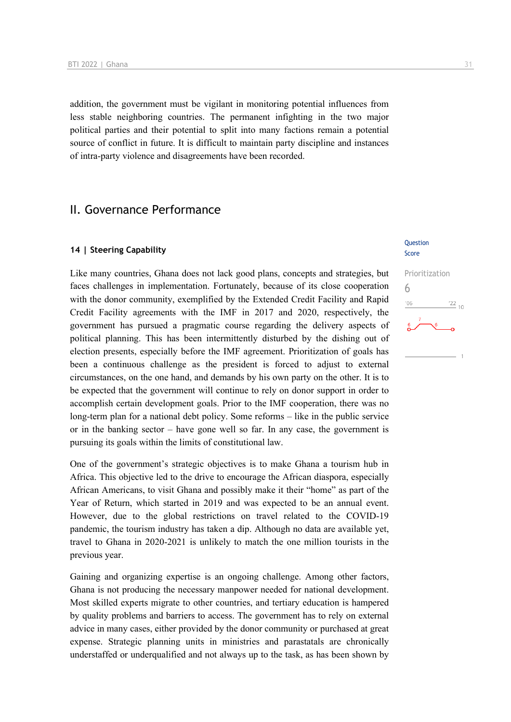addition, the government must be vigilant in monitoring potential influences from less stable neighboring countries. The permanent infighting in the two major political parties and their potential to split into many factions remain a potential source of conflict in future. It is difficult to maintain party discipline and instances of intra-party violence and disagreements have been recorded.

# II. Governance Performance

### **14 | Steering Capability**

Like many countries, Ghana does not lack good plans, concepts and strategies, but faces challenges in implementation. Fortunately, because of its close cooperation with the donor community, exemplified by the Extended Credit Facility and Rapid Credit Facility agreements with the IMF in 2017 and 2020, respectively, the government has pursued a pragmatic course regarding the delivery aspects of political planning. This has been intermittently disturbed by the dishing out of election presents, especially before the IMF agreement. Prioritization of goals has been a continuous challenge as the president is forced to adjust to external circumstances, on the one hand, and demands by his own party on the other. It is to be expected that the government will continue to rely on donor support in order to accomplish certain development goals. Prior to the IMF cooperation, there was no long-term plan for a national debt policy. Some reforms – like in the public service or in the banking sector – have gone well so far. In any case, the government is pursuing its goals within the limits of constitutional law.

One of the government's strategic objectives is to make Ghana a tourism hub in Africa. This objective led to the drive to encourage the African diaspora, especially African Americans, to visit Ghana and possibly make it their "home" as part of the Year of Return, which started in 2019 and was expected to be an annual event. However, due to the global restrictions on travel related to the COVID-19 pandemic, the tourism industry has taken a dip. Although no data are available yet, travel to Ghana in 2020-2021 is unlikely to match the one million tourists in the previous year.

Gaining and organizing expertise is an ongoing challenge. Among other factors, Ghana is not producing the necessary manpower needed for national development. Most skilled experts migrate to other countries, and tertiary education is hampered by quality problems and barriers to access. The government has to rely on external advice in many cases, either provided by the donor community or purchased at great expense. Strategic planning units in ministries and parastatals are chronically understaffed or underqualified and not always up to the task, as has been shown by

#### **Ouestion** Score

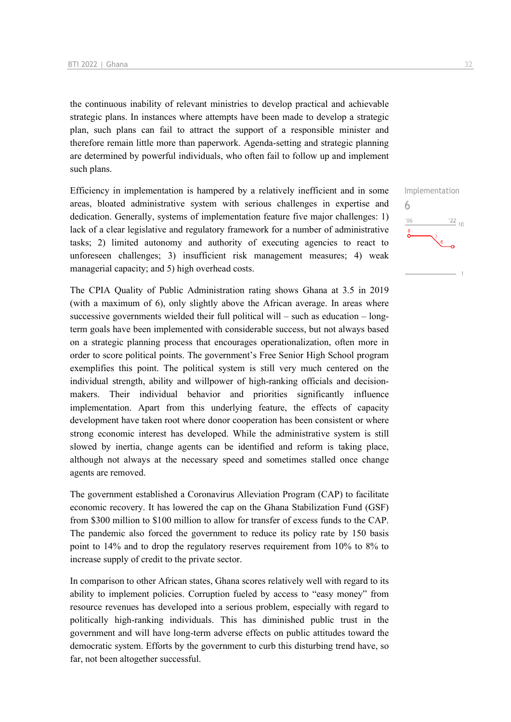the continuous inability of relevant ministries to develop practical and achievable strategic plans. In instances where attempts have been made to develop a strategic plan, such plans can fail to attract the support of a responsible minister and therefore remain little more than paperwork. Agenda-setting and strategic planning are determined by powerful individuals, who often fail to follow up and implement such plans.

Efficiency in implementation is hampered by a relatively inefficient and in some areas, bloated administrative system with serious challenges in expertise and dedication. Generally, systems of implementation feature five major challenges: 1) lack of a clear legislative and regulatory framework for a number of administrative tasks; 2) limited autonomy and authority of executing agencies to react to unforeseen challenges; 3) insufficient risk management measures; 4) weak managerial capacity; and 5) high overhead costs.

The CPIA Quality of Public Administration rating shows Ghana at 3.5 in 2019 (with a maximum of 6), only slightly above the African average. In areas where successive governments wielded their full political will – such as education – longterm goals have been implemented with considerable success, but not always based on a strategic planning process that encourages operationalization, often more in order to score political points. The government's Free Senior High School program exemplifies this point. The political system is still very much centered on the individual strength, ability and willpower of high-ranking officials and decisionmakers. Their individual behavior and priorities significantly influence implementation. Apart from this underlying feature, the effects of capacity development have taken root where donor cooperation has been consistent or where strong economic interest has developed. While the administrative system is still slowed by inertia, change agents can be identified and reform is taking place, although not always at the necessary speed and sometimes stalled once change agents are removed.

The government established a Coronavirus Alleviation Program (CAP) to facilitate economic recovery. It has lowered the cap on the Ghana Stabilization Fund (GSF) from \$300 million to \$100 million to allow for transfer of excess funds to the CAP. The pandemic also forced the government to reduce its policy rate by 150 basis point to 14% and to drop the regulatory reserves requirement from 10% to 8% to increase supply of credit to the private sector.

In comparison to other African states, Ghana scores relatively well with regard to its ability to implement policies. Corruption fueled by access to "easy money" from resource revenues has developed into a serious problem, especially with regard to politically high-ranking individuals. This has diminished public trust in the government and will have long-term adverse effects on public attitudes toward the democratic system. Efforts by the government to curb this disturbing trend have, so far, not been altogether successful.

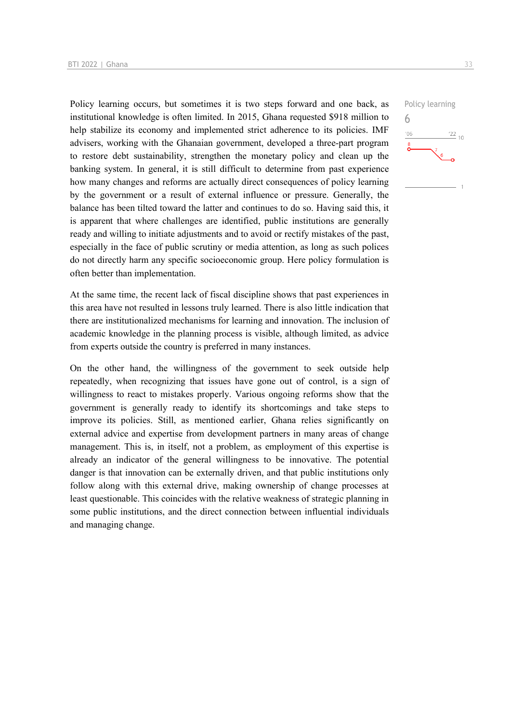Policy learning occurs, but sometimes it is two steps forward and one back, as institutional knowledge is often limited. In 2015, Ghana requested \$918 million to help stabilize its economy and implemented strict adherence to its policies. IMF advisers, working with the Ghanaian government, developed a three-part program to restore debt sustainability, strengthen the monetary policy and clean up the banking system. In general, it is still difficult to determine from past experience how many changes and reforms are actually direct consequences of policy learning by the government or a result of external influence or pressure. Generally, the balance has been tilted toward the latter and continues to do so. Having said this, it is apparent that where challenges are identified, public institutions are generally ready and willing to initiate adjustments and to avoid or rectify mistakes of the past, especially in the face of public scrutiny or media attention, as long as such polices do not directly harm any specific socioeconomic group. Here policy formulation is often better than implementation.

At the same time, the recent lack of fiscal discipline shows that past experiences in this area have not resulted in lessons truly learned. There is also little indication that there are institutionalized mechanisms for learning and innovation. The inclusion of academic knowledge in the planning process is visible, although limited, as advice from experts outside the country is preferred in many instances.

On the other hand, the willingness of the government to seek outside help repeatedly, when recognizing that issues have gone out of control, is a sign of willingness to react to mistakes properly. Various ongoing reforms show that the government is generally ready to identify its shortcomings and take steps to improve its policies. Still, as mentioned earlier, Ghana relies significantly on external advice and expertise from development partners in many areas of change management. This is, in itself, not a problem, as employment of this expertise is already an indicator of the general willingness to be innovative. The potential danger is that innovation can be externally driven, and that public institutions only follow along with this external drive, making ownership of change processes at least questionable. This coincides with the relative weakness of strategic planning in some public institutions, and the direct connection between influential individuals and managing change.

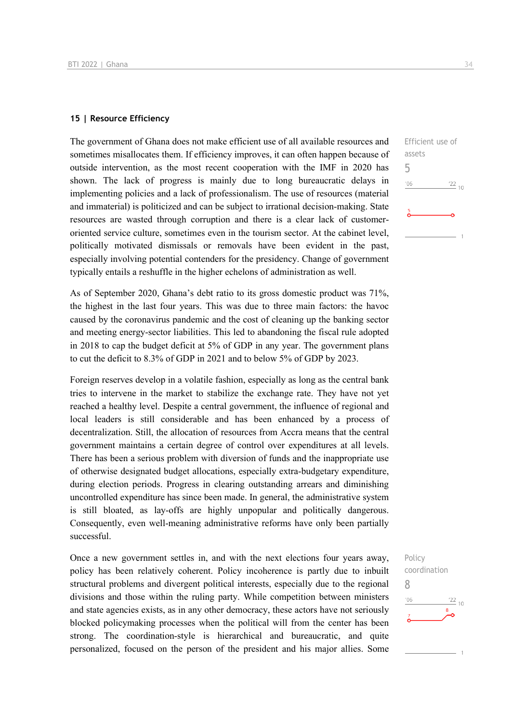### **15 | Resource Efficiency**

The government of Ghana does not make efficient use of all available resources and sometimes misallocates them. If efficiency improves, it can often happen because of outside intervention, as the most recent cooperation with the IMF in 2020 has shown. The lack of progress is mainly due to long bureaucratic delays in implementing policies and a lack of professionalism. The use of resources (material and immaterial) is politicized and can be subject to irrational decision-making. State resources are wasted through corruption and there is a clear lack of customeroriented service culture, sometimes even in the tourism sector. At the cabinet level, politically motivated dismissals or removals have been evident in the past, especially involving potential contenders for the presidency. Change of government typically entails a reshuffle in the higher echelons of administration as well.

As of September 2020, Ghana's debt ratio to its gross domestic product was 71%, the highest in the last four years. This was due to three main factors: the havoc caused by the coronavirus pandemic and the cost of cleaning up the banking sector and meeting energy-sector liabilities. This led to abandoning the fiscal rule adopted in 2018 to cap the budget deficit at 5% of GDP in any year. The government plans to cut the deficit to 8.3% of GDP in 2021 and to below 5% of GDP by 2023.

Foreign reserves develop in a volatile fashion, especially as long as the central bank tries to intervene in the market to stabilize the exchange rate. They have not yet reached a healthy level. Despite a central government, the influence of regional and local leaders is still considerable and has been enhanced by a process of decentralization. Still, the allocation of resources from Accra means that the central government maintains a certain degree of control over expenditures at all levels. There has been a serious problem with diversion of funds and the inappropriate use of otherwise designated budget allocations, especially extra-budgetary expenditure, during election periods. Progress in clearing outstanding arrears and diminishing uncontrolled expenditure has since been made. In general, the administrative system is still bloated, as lay-offs are highly unpopular and politically dangerous. Consequently, even well-meaning administrative reforms have only been partially successful.

Once a new government settles in, and with the next elections four years away, policy has been relatively coherent. Policy incoherence is partly due to inbuilt structural problems and divergent political interests, especially due to the regional divisions and those within the ruling party. While competition between ministers and state agencies exists, as in any other democracy, these actors have not seriously blocked policymaking processes when the political will from the center has been strong. The coordination-style is hierarchical and bureaucratic, and quite personalized, focused on the person of the president and his major allies. Some

 $\frac{22}{10}$ 

Efficient use of

assets 5

 $06'$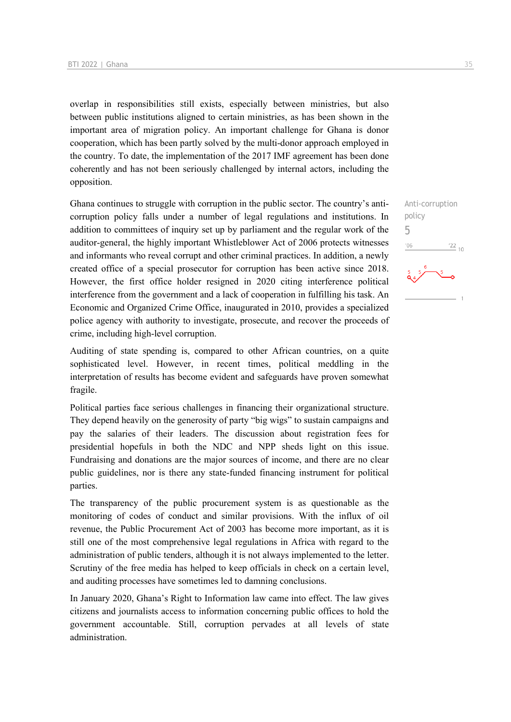overlap in responsibilities still exists, especially between ministries, but also between public institutions aligned to certain ministries, as has been shown in the important area of migration policy. An important challenge for Ghana is donor cooperation, which has been partly solved by the multi-donor approach employed in the country. To date, the implementation of the 2017 IMF agreement has been done coherently and has not been seriously challenged by internal actors, including the opposition.

Ghana continues to struggle with corruption in the public sector. The country's anticorruption policy falls under a number of legal regulations and institutions. In addition to committees of inquiry set up by parliament and the regular work of the auditor-general, the highly important Whistleblower Act of 2006 protects witnesses and informants who reveal corrupt and other criminal practices. In addition, a newly created office of a special prosecutor for corruption has been active since 2018. However, the first office holder resigned in 2020 citing interference political interference from the government and a lack of cooperation in fulfilling his task. An Economic and Organized Crime Office, inaugurated in 2010, provides a specialized police agency with authority to investigate, prosecute, and recover the proceeds of crime, including high-level corruption.

Auditing of state spending is, compared to other African countries, on a quite sophisticated level. However, in recent times, political meddling in the interpretation of results has become evident and safeguards have proven somewhat fragile.

Political parties face serious challenges in financing their organizational structure. They depend heavily on the generosity of party "big wigs" to sustain campaigns and pay the salaries of their leaders. The discussion about registration fees for presidential hopefuls in both the NDC and NPP sheds light on this issue. Fundraising and donations are the major sources of income, and there are no clear public guidelines, nor is there any state-funded financing instrument for political parties.

The transparency of the public procurement system is as questionable as the monitoring of codes of conduct and similar provisions. With the influx of oil revenue, the Public Procurement Act of 2003 has become more important, as it is still one of the most comprehensive legal regulations in Africa with regard to the administration of public tenders, although it is not always implemented to the letter. Scrutiny of the free media has helped to keep officials in check on a certain level, and auditing processes have sometimes led to damning conclusions.

In January 2020, Ghana's Right to Information law came into effect. The law gives citizens and journalists access to information concerning public offices to hold the government accountable. Still, corruption pervades at all levels of state administration.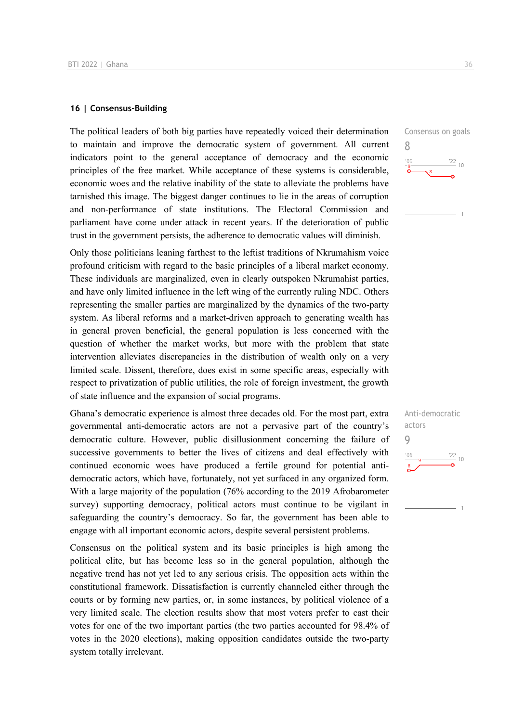### **16 | Consensus-Building**

The political leaders of both big parties have repeatedly voiced their determination to maintain and improve the democratic system of government. All current indicators point to the general acceptance of democracy and the economic principles of the free market. While acceptance of these systems is considerable, economic woes and the relative inability of the state to alleviate the problems have tarnished this image. The biggest danger continues to lie in the areas of corruption and non-performance of state institutions. The Electoral Commission and parliament have come under attack in recent years. If the deterioration of public trust in the government persists, the adherence to democratic values will diminish.

Only those politicians leaning farthest to the leftist traditions of Nkrumahism voice profound criticism with regard to the basic principles of a liberal market economy. These individuals are marginalized, even in clearly outspoken Nkrumahist parties, and have only limited influence in the left wing of the currently ruling NDC. Others representing the smaller parties are marginalized by the dynamics of the two-party system. As liberal reforms and a market-driven approach to generating wealth has in general proven beneficial, the general population is less concerned with the question of whether the market works, but more with the problem that state intervention alleviates discrepancies in the distribution of wealth only on a very limited scale. Dissent, therefore, does exist in some specific areas, especially with respect to privatization of public utilities, the role of foreign investment, the growth of state influence and the expansion of social programs.

Ghana's democratic experience is almost three decades old. For the most part, extra governmental anti-democratic actors are not a pervasive part of the country's democratic culture. However, public disillusionment concerning the failure of successive governments to better the lives of citizens and deal effectively with continued economic woes have produced a fertile ground for potential antidemocratic actors, which have, fortunately, not yet surfaced in any organized form. With a large majority of the population (76% according to the 2019 Afrobarometer survey) supporting democracy, political actors must continue to be vigilant in safeguarding the country's democracy. So far, the government has been able to engage with all important economic actors, despite several persistent problems.

Consensus on the political system and its basic principles is high among the political elite, but has become less so in the general population, although the negative trend has not yet led to any serious crisis. The opposition acts within the constitutional framework. Dissatisfaction is currently channeled either through the courts or by forming new parties, or, in some instances, by political violence of a very limited scale. The election results show that most voters prefer to cast their votes for one of the two important parties (the two parties accounted for 98.4% of votes in the 2020 elections), making opposition candidates outside the two-party system totally irrelevant.



8

 $106$ 

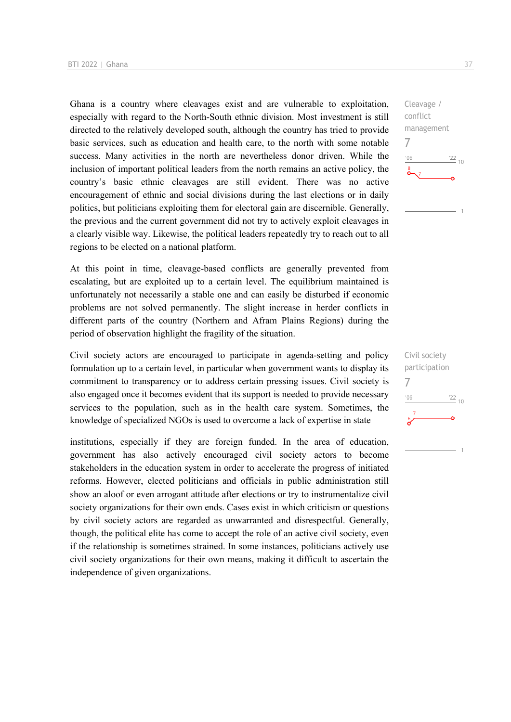Ghana is a country where cleavages exist and are vulnerable to exploitation, especially with regard to the North-South ethnic division. Most investment is still directed to the relatively developed south, although the country has tried to provide basic services, such as education and health care, to the north with some notable success. Many activities in the north are nevertheless donor driven. While the inclusion of important political leaders from the north remains an active policy, the country's basic ethnic cleavages are still evident. There was no active encouragement of ethnic and social divisions during the last elections or in daily politics, but politicians exploiting them for electoral gain are discernible. Generally, the previous and the current government did not try to actively exploit cleavages in a clearly visible way. Likewise, the political leaders repeatedly try to reach out to all regions to be elected on a national platform.

At this point in time, cleavage-based conflicts are generally prevented from escalating, but are exploited up to a certain level. The equilibrium maintained is unfortunately not necessarily a stable one and can easily be disturbed if economic problems are not solved permanently. The slight increase in herder conflicts in different parts of the country (Northern and Afram Plains Regions) during the period of observation highlight the fragility of the situation.

Civil society actors are encouraged to participate in agenda-setting and policy formulation up to a certain level, in particular when government wants to display its commitment to transparency or to address certain pressing issues. Civil society is also engaged once it becomes evident that its support is needed to provide necessary services to the population, such as in the health care system. Sometimes, the knowledge of specialized NGOs is used to overcome a lack of expertise in state

institutions, especially if they are foreign funded. In the area of education, government has also actively encouraged civil society actors to become stakeholders in the education system in order to accelerate the progress of initiated reforms. However, elected politicians and officials in public administration still show an aloof or even arrogant attitude after elections or try to instrumentalize civil society organizations for their own ends. Cases exist in which criticism or questions by civil society actors are regarded as unwarranted and disrespectful. Generally, though, the political elite has come to accept the role of an active civil society, even if the relationship is sometimes strained. In some instances, politicians actively use civil society organizations for their own means, making it difficult to ascertain the independence of given organizations.

Cleavage / conflict management 7  $\frac{22}{10}$  $n<sub>6</sub>$ 

Civil society participation 7 $\frac{22}{10}$  $-06$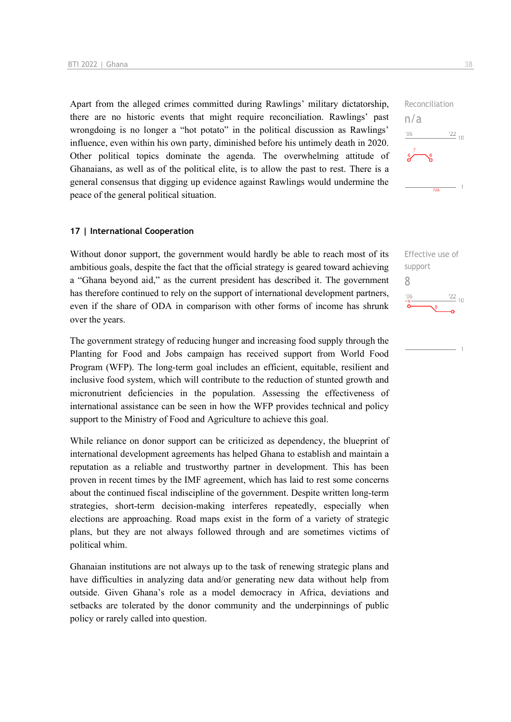Apart from the alleged crimes committed during Rawlings' military dictatorship, there are no historic events that might require reconciliation. Rawlings' past wrongdoing is no longer a "hot potato" in the political discussion as Rawlings' influence, even within his own party, diminished before his untimely death in 2020. Other political topics dominate the agenda. The overwhelming attitude of Ghanaians, as well as of the political elite, is to allow the past to rest. There is a general consensus that digging up evidence against Rawlings would undermine the peace of the general political situation.

### **17 | International Cooperation**

Without donor support, the government would hardly be able to reach most of its ambitious goals, despite the fact that the official strategy is geared toward achieving a "Ghana beyond aid," as the current president has described it. The government has therefore continued to rely on the support of international development partners, even if the share of ODA in comparison with other forms of income has shrunk over the years.

The government strategy of reducing hunger and increasing food supply through the Planting for Food and Jobs campaign has received support from World Food Program (WFP). The long-term goal includes an efficient, equitable, resilient and inclusive food system, which will contribute to the reduction of stunted growth and micronutrient deficiencies in the population. Assessing the effectiveness of international assistance can be seen in how the WFP provides technical and policy support to the Ministry of Food and Agriculture to achieve this goal.

While reliance on donor support can be criticized as dependency, the blueprint of international development agreements has helped Ghana to establish and maintain a reputation as a reliable and trustworthy partner in development. This has been proven in recent times by the IMF agreement, which has laid to rest some concerns about the continued fiscal indiscipline of the government. Despite written long-term strategies, short-term decision-making interferes repeatedly, especially when elections are approaching. Road maps exist in the form of a variety of strategic plans, but they are not always followed through and are sometimes victims of political whim.

Ghanaian institutions are not always up to the task of renewing strategic plans and have difficulties in analyzing data and/or generating new data without help from outside. Given Ghana's role as a model democracy in Africa, deviations and setbacks are tolerated by the donor community and the underpinnings of public policy or rarely called into question.



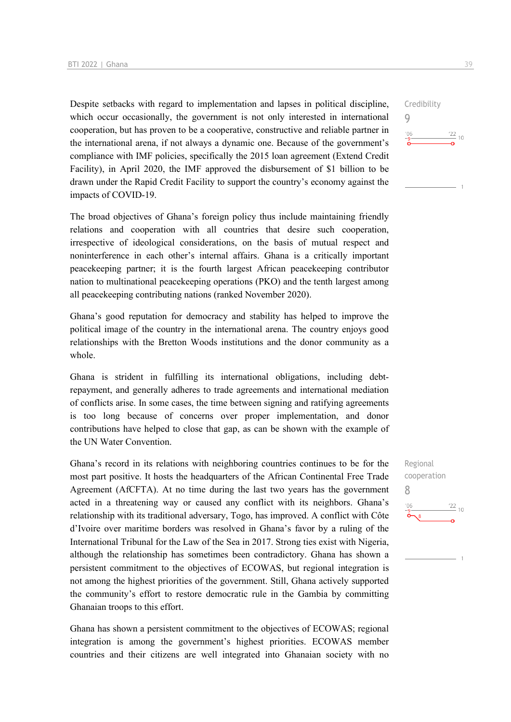Despite setbacks with regard to implementation and lapses in political discipline, which occur occasionally, the government is not only interested in international cooperation, but has proven to be a cooperative, constructive and reliable partner in the international arena, if not always a dynamic one. Because of the government's compliance with IMF policies, specifically the 2015 loan agreement (Extend Credit Facility), in April 2020, the IMF approved the disbursement of \$1 billion to be drawn under the Rapid Credit Facility to support the country's economy against the impacts of COVID-19.

The broad objectives of Ghana's foreign policy thus include maintaining friendly relations and cooperation with all countries that desire such cooperation, irrespective of ideological considerations, on the basis of mutual respect and noninterference in each other's internal affairs. Ghana is a critically important peacekeeping partner; it is the fourth largest African peacekeeping contributor nation to multinational peacekeeping operations (PKO) and the tenth largest among all peacekeeping contributing nations (ranked November 2020).

Ghana's good reputation for democracy and stability has helped to improve the political image of the country in the international arena. The country enjoys good relationships with the Bretton Woods institutions and the donor community as a whole.

Ghana is strident in fulfilling its international obligations, including debtrepayment, and generally adheres to trade agreements and international mediation of conflicts arise. In some cases, the time between signing and ratifying agreements is too long because of concerns over proper implementation, and donor contributions have helped to close that gap, as can be shown with the example of the UN Water Convention.

Ghana's record in its relations with neighboring countries continues to be for the most part positive. It hosts the headquarters of the African Continental Free Trade Agreement (AfCFTA). At no time during the last two years has the government acted in a threatening way or caused any conflict with its neighbors. Ghana's relationship with its traditional adversary, Togo, has improved. A conflict with Côte d'Ivoire over maritime borders was resolved in Ghana's favor by a ruling of the International Tribunal for the Law of the Sea in 2017. Strong ties exist with Nigeria, although the relationship has sometimes been contradictory. Ghana has shown a persistent commitment to the objectives of ECOWAS, but regional integration is not among the highest priorities of the government. Still, Ghana actively supported the community's effort to restore democratic rule in the Gambia by committing Ghanaian troops to this effort.

Ghana has shown a persistent commitment to the objectives of ECOWAS; regional integration is among the government's highest priorities. ECOWAS member countries and their citizens are well integrated into Ghanaian society with no Regional cooperation 8 $\frac{22}{10}$ 

9

 $-06$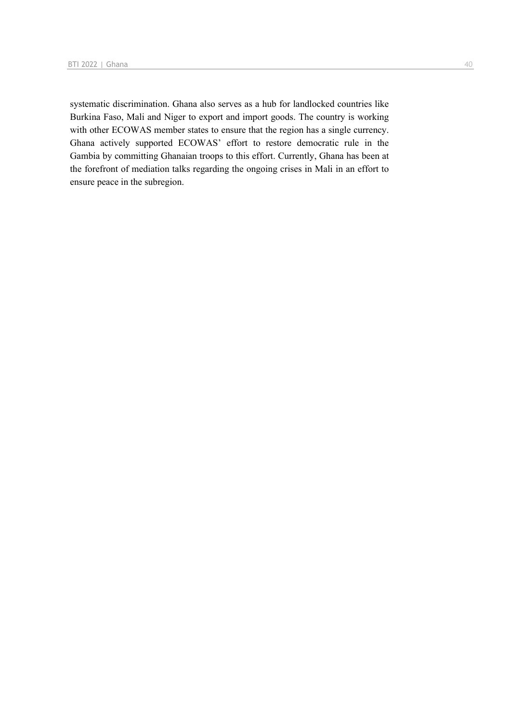systematic discrimination. Ghana also serves as a hub for landlocked countries like Burkina Faso, Mali and Niger to export and import goods. The country is working with other ECOWAS member states to ensure that the region has a single currency. Ghana actively supported ECOWAS' effort to restore democratic rule in the Gambia by committing Ghanaian troops to this effort. Currently, Ghana has been at the forefront of mediation talks regarding the ongoing crises in Mali in an effort to ensure peace in the subregion.